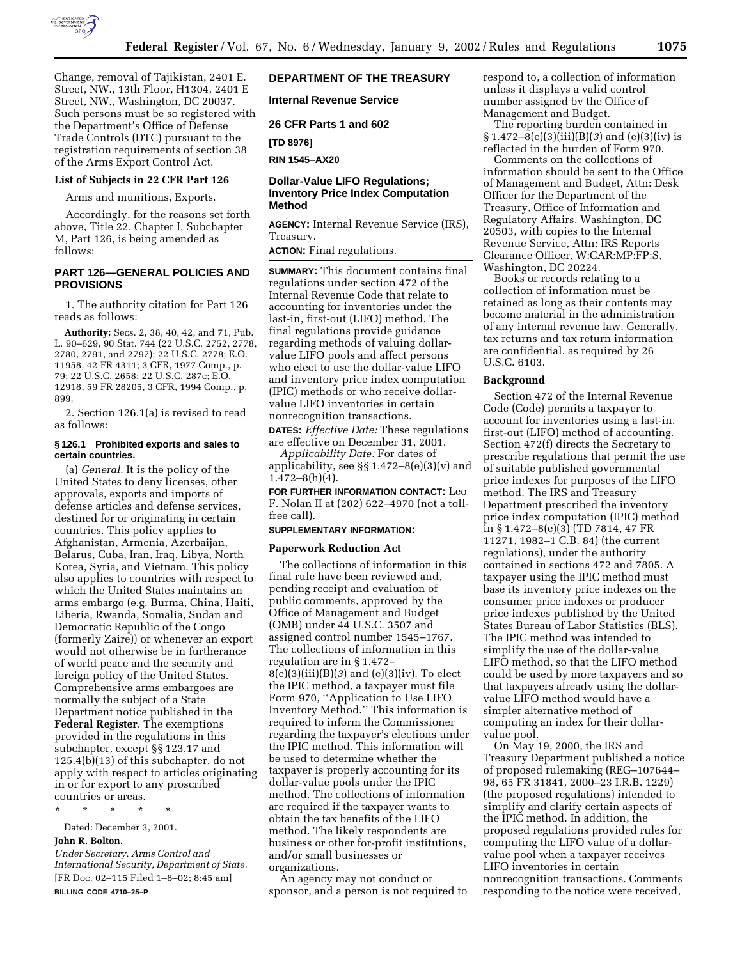

Change, removal of Tajikistan, 2401 E. Street, NW., 13th Floor, H1304, 2401 E Street, NW., Washington, DC 20037. Such persons must be so registered with the Department's Office of Defense Trade Controls (DTC) pursuant to the registration requirements of section 38 of the Arms Export Control Act.

# **List of Subjects in 22 CFR Part 126**

Arms and munitions, Exports.

Accordingly, for the reasons set forth above, Title 22, Chapter I, Subchapter M, Part 126, is being amended as follows:

# **PART 126—GENERAL POLICIES AND PROVISIONS**

1. The authority citation for Part 126 reads as follows:

**Authority:** Secs. 2, 38, 40, 42, and 71, Pub. L. 90–629, 90 Stat. 744 (22 U.S.C. 2752, 2778, 2780, 2791, and 2797); 22 U.S.C. 2778; E.O. 11958, 42 FR 4311; 3 CFR, 1977 Comp., p. 79; 22 U.S.C. 2658; 22 U.S.C. 287c; E.O. 12918, 59 FR 28205, 3 CFR, 1994 Comp., p. 899.

2. Section 126.1(a) is revised to read as follows:

# **§ 126.1 Prohibited exports and sales to certain countries.**

(a) *General.* It is the policy of the United States to deny licenses, other approvals, exports and imports of defense articles and defense services, destined for or originating in certain countries. This policy applies to Afghanistan, Armenia, Azerbaijan, Belarus, Cuba, Iran, Iraq, Libya, North Korea, Syria, and Vietnam. This policy also applies to countries with respect to which the United States maintains an arms embargo (e.g. Burma, China, Haiti, Liberia, Rwanda, Somalia, Sudan and Democratic Republic of the Congo (formerly Zaire)) or whenever an export would not otherwise be in furtherance of world peace and the security and foreign policy of the United States. Comprehensive arms embargoes are normally the subject of a State Department notice published in the **Federal Register**. The exemptions provided in the regulations in this subchapter, except §§ 123.17 and 125.4(b)(13) of this subchapter, do not apply with respect to articles originating in or for export to any proscribed countries or areas.

\* \* \* \* \*

Dated: December 3, 2001. **John R. Bolton,**

*Under Secretary, Arms Control and International Security, Department of State.* [FR Doc. 02–115 Filed 1–8–02; 8:45 am] **BILLING CODE 4710–25–P**

# **DEPARTMENT OF THE TREASURY**

**Internal Revenue Service**

**26 CFR Parts 1 and 602**

**[TD 8976]**

**RIN 1545–AX20**

# **Dollar-Value LIFO Regulations; Inventory Price Index Computation Method**

**AGENCY:** Internal Revenue Service (IRS), Treasury.

**ACTION:** Final regulations.

**SUMMARY:** This document contains final regulations under section 472 of the Internal Revenue Code that relate to accounting for inventories under the last-in, first-out (LIFO) method. The final regulations provide guidance regarding methods of valuing dollarvalue LIFO pools and affect persons who elect to use the dollar-value LIFO and inventory price index computation (IPIC) methods or who receive dollarvalue LIFO inventories in certain nonrecognition transactions.

**DATES:** *Effective Date:* These regulations are effective on December 31, 2001.

*Applicability Date:* For dates of applicability, see  $\S$  1.472–8(e)(3)(v) and  $1.472 - 8(h)(4)$ .

**FOR FURTHER INFORMATION CONTACT:** Leo F. Nolan II at (202) 622–4970 (not a tollfree call).

### **SUPPLEMENTARY INFORMATION:**

#### **Paperwork Reduction Act**

The collections of information in this final rule have been reviewed and, pending receipt and evaluation of public comments, approved by the Office of Management and Budget (OMB) under 44 U.S.C. 3507 and assigned control number 1545–1767. The collections of information in this regulation are in § 1.472– 8(e)(3)(iii)(B)(*3*) and (e)(3)(iv). To elect the IPIC method, a taxpayer must file Form 970, ''Application to Use LIFO Inventory Method.'' This information is required to inform the Commissioner regarding the taxpayer's elections under the IPIC method. This information will be used to determine whether the taxpayer is properly accounting for its dollar-value pools under the IPIC method. The collections of information are required if the taxpayer wants to obtain the tax benefits of the LIFO method. The likely respondents are business or other for-profit institutions, and/or small businesses or organizations.

An agency may not conduct or sponsor, and a person is not required to respond to, a collection of information unless it displays a valid control number assigned by the Office of Management and Budget.

The reporting burden contained in § 1.472–8(e)(3)(iii)(B)(*3*) and (e)(3)(iv) is reflected in the burden of Form 970.

Comments on the collections of information should be sent to the Office of Management and Budget, Attn: Desk Officer for the Department of the Treasury, Office of Information and Regulatory Affairs, Washington, DC 20503, with copies to the Internal Revenue Service, Attn: IRS Reports Clearance Officer, W:CAR:MP:FP:S, Washington, DC 20224.

Books or records relating to a collection of information must be retained as long as their contents may become material in the administration of any internal revenue law. Generally, tax returns and tax return information are confidential, as required by 26 U.S.C. 6103.

### **Background**

Section 472 of the Internal Revenue Code (Code) permits a taxpayer to account for inventories using a last-in, first-out (LIFO) method of accounting. Section 472(f) directs the Secretary to prescribe regulations that permit the use of suitable published governmental price indexes for purposes of the LIFO method. The IRS and Treasury Department prescribed the inventory price index computation (IPIC) method in § 1.472–8(e)(3) (TD 7814, 47 FR 11271, 1982–1 C.B. 84) (the current regulations), under the authority contained in sections 472 and 7805. A taxpayer using the IPIC method must base its inventory price indexes on the consumer price indexes or producer price indexes published by the United States Bureau of Labor Statistics (BLS). The IPIC method was intended to simplify the use of the dollar-value LIFO method, so that the LIFO method could be used by more taxpayers and so that taxpayers already using the dollarvalue LIFO method would have a simpler alternative method of computing an index for their dollarvalue pool.

On May 19, 2000, the IRS and Treasury Department published a notice of proposed rulemaking (REG–107644– 98, 65 FR 31841, 2000–23 I.R.B. 1229) (the proposed regulations) intended to simplify and clarify certain aspects of the IPIC method. In addition, the proposed regulations provided rules for computing the LIFO value of a dollarvalue pool when a taxpayer receives LIFO inventories in certain nonrecognition transactions. Comments responding to the notice were received,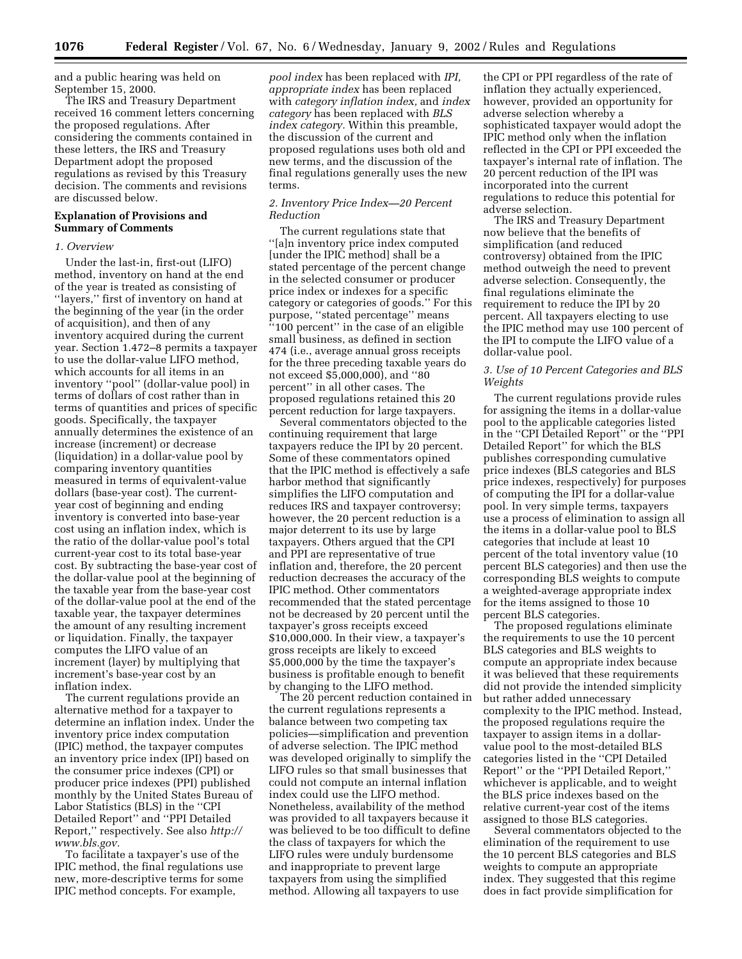and a public hearing was held on September 15, 2000.

The IRS and Treasury Department received 16 comment letters concerning the proposed regulations. After considering the comments contained in these letters, the IRS and Treasury Department adopt the proposed regulations as revised by this Treasury decision. The comments and revisions are discussed below.

### **Explanation of Provisions and Summary of Comments**

#### *1. Overview*

Under the last-in, first-out (LIFO) method, inventory on hand at the end of the year is treated as consisting of ''layers,'' first of inventory on hand at the beginning of the year (in the order of acquisition), and then of any inventory acquired during the current year. Section 1.472–8 permits a taxpayer to use the dollar-value LIFO method, which accounts for all items in an inventory ''pool'' (dollar-value pool) in terms of dollars of cost rather than in terms of quantities and prices of specific goods. Specifically, the taxpayer annually determines the existence of an increase (increment) or decrease (liquidation) in a dollar-value pool by comparing inventory quantities measured in terms of equivalent-value dollars (base-year cost). The currentyear cost of beginning and ending inventory is converted into base-year cost using an inflation index, which is the ratio of the dollar-value pool's total current-year cost to its total base-year cost. By subtracting the base-year cost of the dollar-value pool at the beginning of the taxable year from the base-year cost of the dollar-value pool at the end of the taxable year, the taxpayer determines the amount of any resulting increment or liquidation. Finally, the taxpayer computes the LIFO value of an increment (layer) by multiplying that increment's base-year cost by an inflation index.

The current regulations provide an alternative method for a taxpayer to determine an inflation index. Under the inventory price index computation (IPIC) method, the taxpayer computes an inventory price index (IPI) based on the consumer price indexes (CPI) or producer price indexes (PPI) published monthly by the United States Bureau of Labor Statistics (BLS) in the ''CPI Detailed Report'' and ''PPI Detailed Report,'' respectively. See also *http:// www.bls.gov.*

To facilitate a taxpayer's use of the IPIC method, the final regulations use new, more-descriptive terms for some IPIC method concepts. For example,

*pool index* has been replaced with *IPI, appropriate index* has been replaced with *category inflation index,* and *index category* has been replaced with *BLS index category.* Within this preamble, the discussion of the current and proposed regulations uses both old and new terms, and the discussion of the final regulations generally uses the new terms.

### *2. Inventory Price Index—20 Percent Reduction*

The current regulations state that ''[a]n inventory price index computed [under the IPIC method] shall be a stated percentage of the percent change in the selected consumer or producer price index or indexes for a specific category or categories of goods.'' For this purpose, "stated percentage" means ''100 percent'' in the case of an eligible small business, as defined in section 474 (i.e., average annual gross receipts for the three preceding taxable years do not exceed \$5,000,000), and ''80 percent'' in all other cases. The proposed regulations retained this 20 percent reduction for large taxpayers.

Several commentators objected to the continuing requirement that large taxpayers reduce the IPI by 20 percent. Some of these commentators opined that the IPIC method is effectively a safe harbor method that significantly simplifies the LIFO computation and reduces IRS and taxpayer controversy; however, the 20 percent reduction is a major deterrent to its use by large taxpayers. Others argued that the CPI and PPI are representative of true inflation and, therefore, the 20 percent reduction decreases the accuracy of the IPIC method. Other commentators recommended that the stated percentage not be decreased by 20 percent until the taxpayer's gross receipts exceed \$10,000,000. In their view, a taxpayer's gross receipts are likely to exceed \$5,000,000 by the time the taxpayer's business is profitable enough to benefit by changing to the LIFO method.

The 20 percent reduction contained in the current regulations represents a balance between two competing tax policies—simplification and prevention of adverse selection. The IPIC method was developed originally to simplify the LIFO rules so that small businesses that could not compute an internal inflation index could use the LIFO method. Nonetheless, availability of the method was provided to all taxpayers because it was believed to be too difficult to define the class of taxpayers for which the LIFO rules were unduly burdensome and inappropriate to prevent large taxpayers from using the simplified method. Allowing all taxpayers to use

the CPI or PPI regardless of the rate of inflation they actually experienced, however, provided an opportunity for adverse selection whereby a sophisticated taxpayer would adopt the IPIC method only when the inflation reflected in the CPI or PPI exceeded the taxpayer's internal rate of inflation. The 20 percent reduction of the IPI was incorporated into the current regulations to reduce this potential for adverse selection.

The IRS and Treasury Department now believe that the benefits of simplification (and reduced controversy) obtained from the IPIC method outweigh the need to prevent adverse selection. Consequently, the final regulations eliminate the requirement to reduce the IPI by 20 percent. All taxpayers electing to use the IPIC method may use 100 percent of the IPI to compute the LIFO value of a dollar-value pool.

# *3. Use of 10 Percent Categories and BLS Weights*

The current regulations provide rules for assigning the items in a dollar-value pool to the applicable categories listed in the ''CPI Detailed Report'' or the ''PPI Detailed Report'' for which the BLS publishes corresponding cumulative price indexes (BLS categories and BLS price indexes, respectively) for purposes of computing the IPI for a dollar-value pool. In very simple terms, taxpayers use a process of elimination to assign all the items in a dollar-value pool to BLS categories that include at least 10 percent of the total inventory value (10 percent BLS categories) and then use the corresponding BLS weights to compute a weighted-average appropriate index for the items assigned to those 10 percent BLS categories.

The proposed regulations eliminate the requirements to use the 10 percent BLS categories and BLS weights to compute an appropriate index because it was believed that these requirements did not provide the intended simplicity but rather added unnecessary complexity to the IPIC method. Instead, the proposed regulations require the taxpayer to assign items in a dollarvalue pool to the most-detailed BLS categories listed in the ''CPI Detailed Report'' or the ''PPI Detailed Report,'' whichever is applicable, and to weight the BLS price indexes based on the relative current-year cost of the items assigned to those BLS categories.

Several commentators objected to the elimination of the requirement to use the 10 percent BLS categories and BLS weights to compute an appropriate index. They suggested that this regime does in fact provide simplification for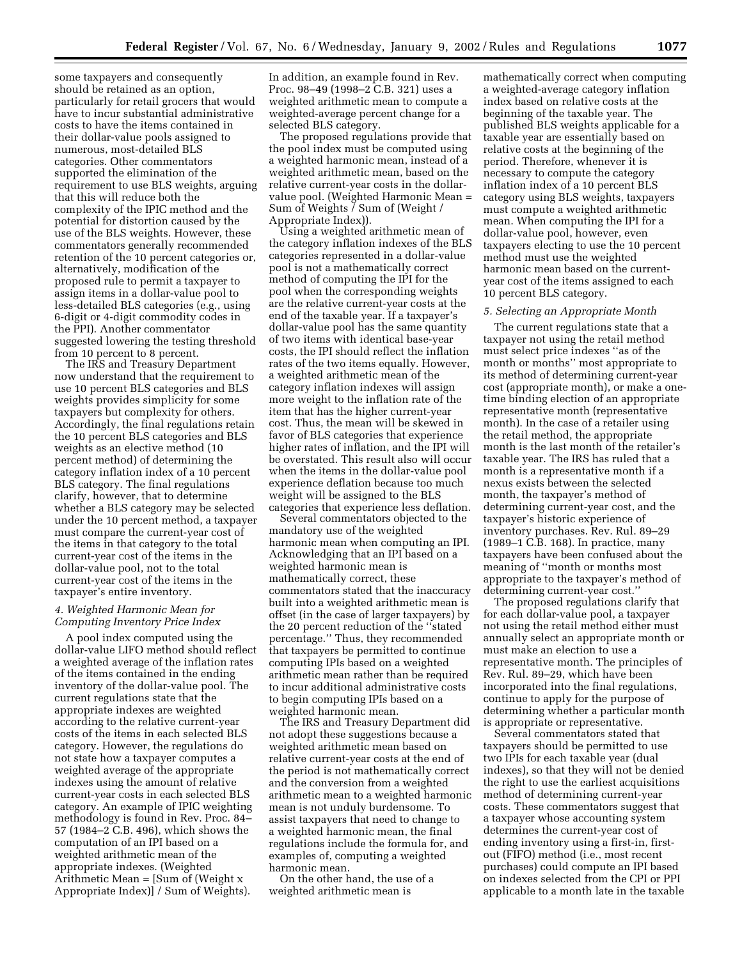some taxpayers and consequently should be retained as an option, particularly for retail grocers that would have to incur substantial administrative costs to have the items contained in their dollar-value pools assigned to numerous, most-detailed BLS categories. Other commentators supported the elimination of the requirement to use BLS weights, arguing that this will reduce both the complexity of the IPIC method and the potential for distortion caused by the use of the BLS weights. However, these commentators generally recommended retention of the 10 percent categories or, alternatively, modification of the proposed rule to permit a taxpayer to assign items in a dollar-value pool to less-detailed BLS categories (e.g., using 6-digit or 4-digit commodity codes in the PPI). Another commentator suggested lowering the testing threshold from 10 percent to 8 percent.

The IRS and Treasury Department now understand that the requirement to use 10 percent BLS categories and BLS weights provides simplicity for some taxpayers but complexity for others. Accordingly, the final regulations retain the 10 percent BLS categories and BLS weights as an elective method (10 percent method) of determining the category inflation index of a 10 percent BLS category. The final regulations clarify, however, that to determine whether a BLS category may be selected under the 10 percent method, a taxpayer must compare the current-year cost of the items in that category to the total current-year cost of the items in the dollar-value pool, not to the total current-year cost of the items in the taxpayer's entire inventory.

## *4. Weighted Harmonic Mean for Computing Inventory Price Index*

A pool index computed using the dollar-value LIFO method should reflect a weighted average of the inflation rates of the items contained in the ending inventory of the dollar-value pool. The current regulations state that the appropriate indexes are weighted according to the relative current-year costs of the items in each selected BLS category. However, the regulations do not state how a taxpayer computes a weighted average of the appropriate indexes using the amount of relative current-year costs in each selected BLS category. An example of IPIC weighting methodology is found in Rev. Proc. 84– 57 (1984–2 C.B. 496), which shows the computation of an IPI based on a weighted arithmetic mean of the appropriate indexes. (Weighted Arithmetic Mean = [Sum of (Weight x Appropriate Index)] / Sum of Weights).

In addition, an example found in Rev. Proc. 98–49 (1998–2 C.B. 321) uses a weighted arithmetic mean to compute a weighted-average percent change for a selected BLS category.

The proposed regulations provide that the pool index must be computed using a weighted harmonic mean, instead of a weighted arithmetic mean, based on the relative current-year costs in the dollarvalue pool. (Weighted Harmonic Mean = Sum of Weights / Sum of (Weight / Appropriate Index)).

Using a weighted arithmetic mean of the category inflation indexes of the BLS categories represented in a dollar-value pool is not a mathematically correct method of computing the IPI for the pool when the corresponding weights are the relative current-year costs at the end of the taxable year. If a taxpayer's dollar-value pool has the same quantity of two items with identical base-year costs, the IPI should reflect the inflation rates of the two items equally. However, a weighted arithmetic mean of the category inflation indexes will assign more weight to the inflation rate of the item that has the higher current-year cost. Thus, the mean will be skewed in favor of BLS categories that experience higher rates of inflation, and the IPI will be overstated. This result also will occur when the items in the dollar-value pool experience deflation because too much weight will be assigned to the BLS categories that experience less deflation.

Several commentators objected to the mandatory use of the weighted harmonic mean when computing an IPI. Acknowledging that an IPI based on a weighted harmonic mean is mathematically correct, these commentators stated that the inaccuracy built into a weighted arithmetic mean is offset (in the case of larger taxpayers) by the 20 percent reduction of the ''stated percentage.'' Thus, they recommended that taxpayers be permitted to continue computing IPIs based on a weighted arithmetic mean rather than be required to incur additional administrative costs to begin computing IPIs based on a weighted harmonic mean.

The IRS and Treasury Department did not adopt these suggestions because a weighted arithmetic mean based on relative current-year costs at the end of the period is not mathematically correct and the conversion from a weighted arithmetic mean to a weighted harmonic mean is not unduly burdensome. To assist taxpayers that need to change to a weighted harmonic mean, the final regulations include the formula for, and examples of, computing a weighted harmonic mean.

On the other hand, the use of a weighted arithmetic mean is

mathematically correct when computing a weighted-average category inflation index based on relative costs at the beginning of the taxable year. The published BLS weights applicable for a taxable year are essentially based on relative costs at the beginning of the period. Therefore, whenever it is necessary to compute the category inflation index of a 10 percent BLS category using BLS weights, taxpayers must compute a weighted arithmetic mean. When computing the IPI for a dollar-value pool, however, even taxpayers electing to use the 10 percent method must use the weighted harmonic mean based on the currentyear cost of the items assigned to each 10 percent BLS category.

### *5. Selecting an Appropriate Month*

The current regulations state that a taxpayer not using the retail method must select price indexes ''as of the month or months'' most appropriate to its method of determining current-year cost (appropriate month), or make a onetime binding election of an appropriate representative month (representative month). In the case of a retailer using the retail method, the appropriate month is the last month of the retailer's taxable year. The IRS has ruled that a month is a representative month if a nexus exists between the selected month, the taxpayer's method of determining current-year cost, and the taxpayer's historic experience of inventory purchases. Rev. Rul. 89–29 (1989–1 C.B. 168). In practice, many taxpayers have been confused about the meaning of ''month or months most appropriate to the taxpayer's method of determining current-year cost.''

The proposed regulations clarify that for each dollar-value pool, a taxpayer not using the retail method either must annually select an appropriate month or must make an election to use a representative month. The principles of Rev. Rul. 89–29, which have been incorporated into the final regulations, continue to apply for the purpose of determining whether a particular month is appropriate or representative.

Several commentators stated that taxpayers should be permitted to use two IPIs for each taxable year (dual indexes), so that they will not be denied the right to use the earliest acquisitions method of determining current-year costs. These commentators suggest that a taxpayer whose accounting system determines the current-year cost of ending inventory using a first-in, firstout (FIFO) method (i.e., most recent purchases) could compute an IPI based on indexes selected from the CPI or PPI applicable to a month late in the taxable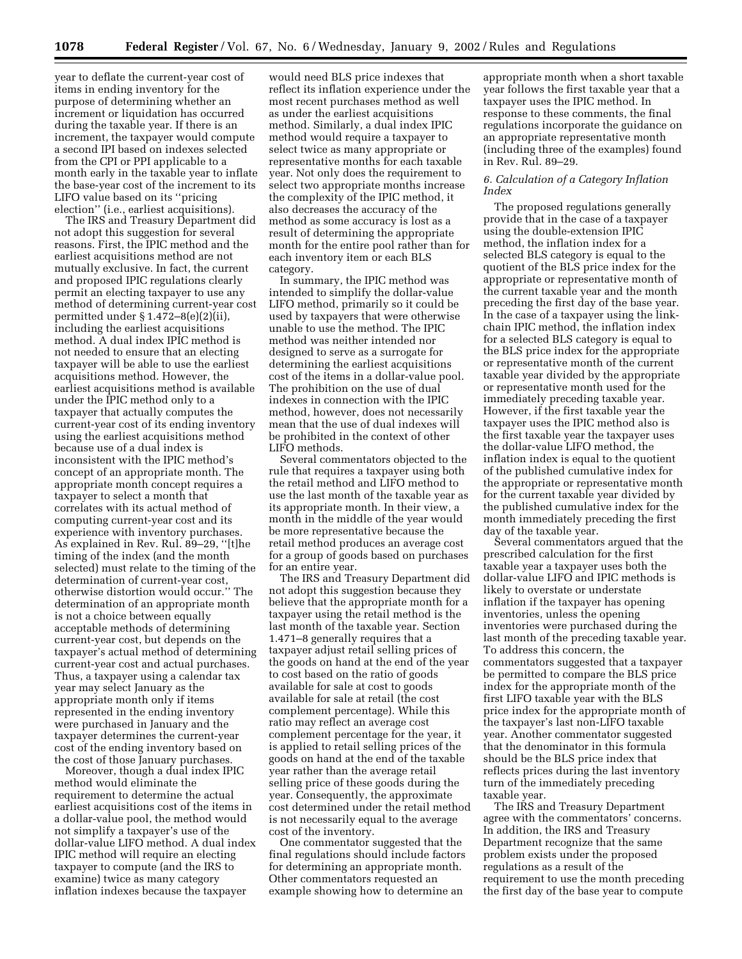year to deflate the current-year cost of items in ending inventory for the purpose of determining whether an increment or liquidation has occurred during the taxable year. If there is an increment, the taxpayer would compute a second IPI based on indexes selected from the CPI or PPI applicable to a month early in the taxable year to inflate the base-year cost of the increment to its LIFO value based on its ''pricing election'' (i.e., earliest acquisitions).

The IRS and Treasury Department did not adopt this suggestion for several reasons. First, the IPIC method and the earliest acquisitions method are not mutually exclusive. In fact, the current and proposed IPIC regulations clearly permit an electing taxpayer to use any method of determining current-year cost permitted under § 1.472–8(e)(2)(ii), including the earliest acquisitions method. A dual index IPIC method is not needed to ensure that an electing taxpayer will be able to use the earliest acquisitions method. However, the earliest acquisitions method is available under the IPIC method only to a taxpayer that actually computes the current-year cost of its ending inventory using the earliest acquisitions method because use of a dual index is inconsistent with the IPIC method's concept of an appropriate month. The appropriate month concept requires a taxpayer to select a month that correlates with its actual method of computing current-year cost and its experience with inventory purchases. As explained in Rev. Rul. 89–29, ''[t]he timing of the index (and the month selected) must relate to the timing of the determination of current-year cost, otherwise distortion would occur.'' The determination of an appropriate month is not a choice between equally acceptable methods of determining current-year cost, but depends on the taxpayer's actual method of determining current-year cost and actual purchases. Thus, a taxpayer using a calendar tax year may select January as the appropriate month only if items represented in the ending inventory were purchased in January and the taxpayer determines the current-year cost of the ending inventory based on the cost of those January purchases.

Moreover, though a dual index IPIC method would eliminate the requirement to determine the actual earliest acquisitions cost of the items in a dollar-value pool, the method would not simplify a taxpayer's use of the dollar-value LIFO method. A dual index IPIC method will require an electing taxpayer to compute (and the IRS to examine) twice as many category inflation indexes because the taxpayer

would need BLS price indexes that reflect its inflation experience under the most recent purchases method as well as under the earliest acquisitions method. Similarly, a dual index IPIC method would require a taxpayer to select twice as many appropriate or representative months for each taxable year. Not only does the requirement to select two appropriate months increase the complexity of the IPIC method, it also decreases the accuracy of the method as some accuracy is lost as a result of determining the appropriate month for the entire pool rather than for each inventory item or each BLS category.

In summary, the IPIC method was intended to simplify the dollar-value LIFO method, primarily so it could be used by taxpayers that were otherwise unable to use the method. The IPIC method was neither intended nor designed to serve as a surrogate for determining the earliest acquisitions cost of the items in a dollar-value pool. The prohibition on the use of dual indexes in connection with the IPIC method, however, does not necessarily mean that the use of dual indexes will be prohibited in the context of other LIFO methods.

Several commentators objected to the rule that requires a taxpayer using both the retail method and LIFO method to use the last month of the taxable year as its appropriate month. In their view, a month in the middle of the year would be more representative because the retail method produces an average cost for a group of goods based on purchases for an entire year.

The IRS and Treasury Department did not adopt this suggestion because they believe that the appropriate month for a taxpayer using the retail method is the last month of the taxable year. Section 1.471–8 generally requires that a taxpayer adjust retail selling prices of the goods on hand at the end of the year to cost based on the ratio of goods available for sale at cost to goods available for sale at retail (the cost complement percentage). While this ratio may reflect an average cost complement percentage for the year, it is applied to retail selling prices of the goods on hand at the end of the taxable year rather than the average retail selling price of these goods during the year. Consequently, the approximate cost determined under the retail method is not necessarily equal to the average cost of the inventory.

One commentator suggested that the final regulations should include factors for determining an appropriate month. Other commentators requested an example showing how to determine an

appropriate month when a short taxable year follows the first taxable year that a taxpayer uses the IPIC method. In response to these comments, the final regulations incorporate the guidance on an appropriate representative month (including three of the examples) found in Rev. Rul. 89–29.

# *6. Calculation of a Category Inflation Index*

The proposed regulations generally provide that in the case of a taxpayer using the double-extension IPIC method, the inflation index for a selected BLS category is equal to the quotient of the BLS price index for the appropriate or representative month of the current taxable year and the month preceding the first day of the base year. In the case of a taxpayer using the linkchain IPIC method, the inflation index for a selected BLS category is equal to the BLS price index for the appropriate or representative month of the current taxable year divided by the appropriate or representative month used for the immediately preceding taxable year. However, if the first taxable year the taxpayer uses the IPIC method also is the first taxable year the taxpayer uses the dollar-value LIFO method, the inflation index is equal to the quotient of the published cumulative index for the appropriate or representative month for the current taxable year divided by the published cumulative index for the month immediately preceding the first day of the taxable year.

Several commentators argued that the prescribed calculation for the first taxable year a taxpayer uses both the dollar-value LIFO and IPIC methods is likely to overstate or understate inflation if the taxpayer has opening inventories, unless the opening inventories were purchased during the last month of the preceding taxable year. To address this concern, the commentators suggested that a taxpayer be permitted to compare the BLS price index for the appropriate month of the first LIFO taxable year with the BLS price index for the appropriate month of the taxpayer's last non-LIFO taxable year. Another commentator suggested that the denominator in this formula should be the BLS price index that reflects prices during the last inventory turn of the immediately preceding taxable year.

The IRS and Treasury Department agree with the commentators' concerns. In addition, the IRS and Treasury Department recognize that the same problem exists under the proposed regulations as a result of the requirement to use the month preceding the first day of the base year to compute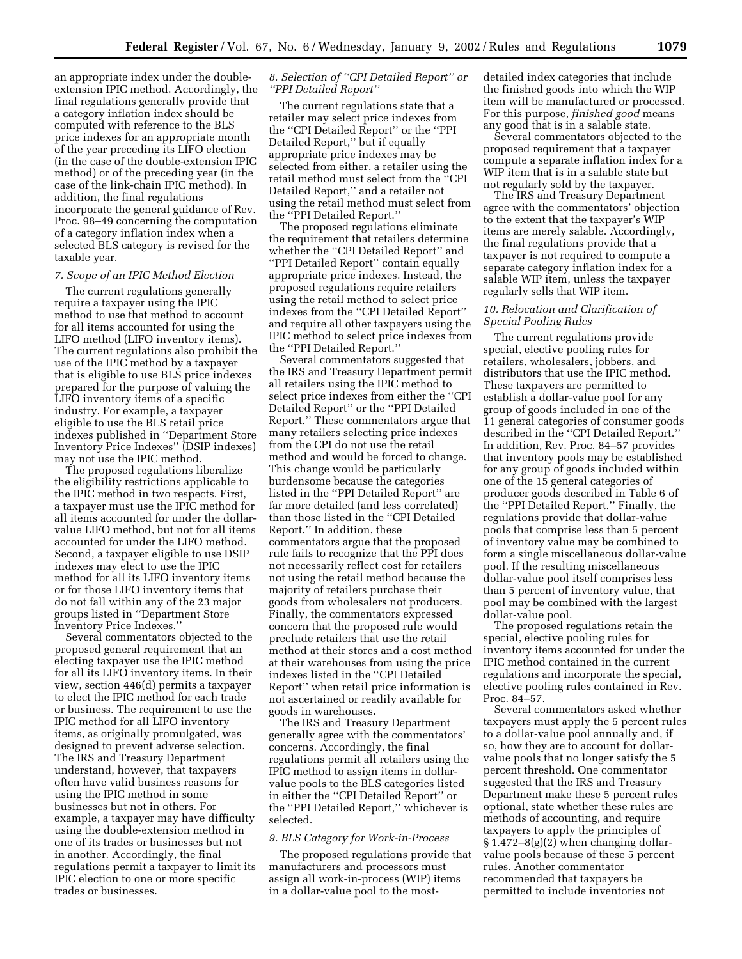an appropriate index under the doubleextension IPIC method. Accordingly, the final regulations generally provide that a category inflation index should be computed with reference to the BLS price indexes for an appropriate month of the year preceding its LIFO election (in the case of the double-extension IPIC method) or of the preceding year (in the case of the link-chain IPIC method). In addition, the final regulations incorporate the general guidance of Rev. Proc. 98–49 concerning the computation of a category inflation index when a selected BLS category is revised for the taxable year.

#### *7. Scope of an IPIC Method Election*

The current regulations generally require a taxpayer using the IPIC method to use that method to account for all items accounted for using the LIFO method (LIFO inventory items). The current regulations also prohibit the use of the IPIC method by a taxpayer that is eligible to use BLS price indexes prepared for the purpose of valuing the LIFO inventory items of a specific industry. For example, a taxpayer eligible to use the BLS retail price indexes published in ''Department Store Inventory Price Indexes'' (DSIP indexes) may not use the IPIC method.

The proposed regulations liberalize the eligibility restrictions applicable to the IPIC method in two respects. First, a taxpayer must use the IPIC method for all items accounted for under the dollarvalue LIFO method, but not for all items accounted for under the LIFO method. Second, a taxpayer eligible to use DSIP indexes may elect to use the IPIC method for all its LIFO inventory items or for those LIFO inventory items that do not fall within any of the 23 major groups listed in ''Department Store Inventory Price Indexes.''

Several commentators objected to the proposed general requirement that an electing taxpayer use the IPIC method for all its LIFO inventory items. In their view, section 446(d) permits a taxpayer to elect the IPIC method for each trade or business. The requirement to use the IPIC method for all LIFO inventory items, as originally promulgated, was designed to prevent adverse selection. The IRS and Treasury Department understand, however, that taxpayers often have valid business reasons for using the IPIC method in some businesses but not in others. For example, a taxpayer may have difficulty using the double-extension method in one of its trades or businesses but not in another. Accordingly, the final regulations permit a taxpayer to limit its IPIC election to one or more specific trades or businesses.

# *8. Selection of ''CPI Detailed Report'' or ''PPI Detailed Report''*

The current regulations state that a retailer may select price indexes from the ''CPI Detailed Report'' or the ''PPI Detailed Report,'' but if equally appropriate price indexes may be selected from either, a retailer using the retail method must select from the ''CPI Detailed Report,'' and a retailer not using the retail method must select from the ''PPI Detailed Report.''

The proposed regulations eliminate the requirement that retailers determine whether the ''CPI Detailed Report'' and ''PPI Detailed Report'' contain equally appropriate price indexes. Instead, the proposed regulations require retailers using the retail method to select price indexes from the ''CPI Detailed Report'' and require all other taxpayers using the IPIC method to select price indexes from the ''PPI Detailed Report.''

Several commentators suggested that the IRS and Treasury Department permit all retailers using the IPIC method to select price indexes from either the ''CPI Detailed Report'' or the ''PPI Detailed Report.'' These commentators argue that many retailers selecting price indexes from the CPI do not use the retail method and would be forced to change. This change would be particularly burdensome because the categories listed in the ''PPI Detailed Report'' are far more detailed (and less correlated) than those listed in the ''CPI Detailed Report.'' In addition, these commentators argue that the proposed rule fails to recognize that the PPI does not necessarily reflect cost for retailers not using the retail method because the majority of retailers purchase their goods from wholesalers not producers. Finally, the commentators expressed concern that the proposed rule would preclude retailers that use the retail method at their stores and a cost method at their warehouses from using the price indexes listed in the ''CPI Detailed Report'' when retail price information is not ascertained or readily available for goods in warehouses.

The IRS and Treasury Department generally agree with the commentators' concerns. Accordingly, the final regulations permit all retailers using the IPIC method to assign items in dollarvalue pools to the BLS categories listed in either the ''CPI Detailed Report'' or the ''PPI Detailed Report,'' whichever is selected.

#### *9. BLS Category for Work-in-Process*

The proposed regulations provide that manufacturers and processors must assign all work-in-process (WIP) items in a dollar-value pool to the mostdetailed index categories that include the finished goods into which the WIP item will be manufactured or processed. For this purpose, *finished good* means any good that is in a salable state.

Several commentators objected to the proposed requirement that a taxpayer compute a separate inflation index for a WIP item that is in a salable state but not regularly sold by the taxpayer.

The IRS and Treasury Department agree with the commentators' objection to the extent that the taxpayer's WIP items are merely salable. Accordingly, the final regulations provide that a taxpayer is not required to compute a separate category inflation index for a salable WIP item, unless the taxpayer regularly sells that WIP item.

# *10. Relocation and Clarification of Special Pooling Rules*

The current regulations provide special, elective pooling rules for retailers, wholesalers, jobbers, and distributors that use the IPIC method. These taxpayers are permitted to establish a dollar-value pool for any group of goods included in one of the 11 general categories of consumer goods described in the ''CPI Detailed Report.'' In addition, Rev. Proc. 84–57 provides that inventory pools may be established for any group of goods included within one of the 15 general categories of producer goods described in Table 6 of the ''PPI Detailed Report.'' Finally, the regulations provide that dollar-value pools that comprise less than 5 percent of inventory value may be combined to form a single miscellaneous dollar-value pool. If the resulting miscellaneous dollar-value pool itself comprises less than 5 percent of inventory value, that pool may be combined with the largest dollar-value pool.

The proposed regulations retain the special, elective pooling rules for inventory items accounted for under the IPIC method contained in the current regulations and incorporate the special, elective pooling rules contained in Rev. Proc. 84–57.

Several commentators asked whether taxpayers must apply the 5 percent rules to a dollar-value pool annually and, if so, how they are to account for dollarvalue pools that no longer satisfy the 5 percent threshold. One commentator suggested that the IRS and Treasury Department make these 5 percent rules optional, state whether these rules are methods of accounting, and require taxpayers to apply the principles of § 1.472–8(g)(2) when changing dollarvalue pools because of these 5 percent rules. Another commentator recommended that taxpayers be permitted to include inventories not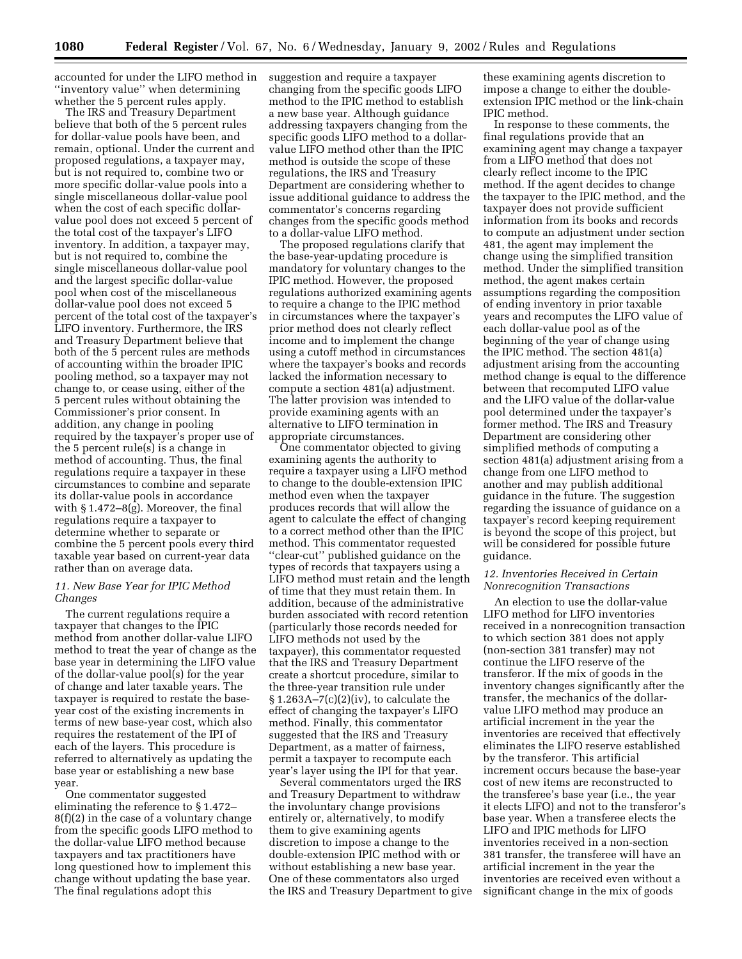accounted for under the LIFO method in ''inventory value'' when determining whether the 5 percent rules apply.

The IRS and Treasury Department believe that both of the 5 percent rules for dollar-value pools have been, and remain, optional. Under the current and proposed regulations, a taxpayer may, but is not required to, combine two or more specific dollar-value pools into a single miscellaneous dollar-value pool when the cost of each specific dollarvalue pool does not exceed 5 percent of the total cost of the taxpayer's LIFO inventory. In addition, a taxpayer may, but is not required to, combine the single miscellaneous dollar-value pool and the largest specific dollar-value pool when cost of the miscellaneous dollar-value pool does not exceed 5 percent of the total cost of the taxpayer's LIFO inventory. Furthermore, the IRS and Treasury Department believe that both of the 5 percent rules are methods of accounting within the broader IPIC pooling method, so a taxpayer may not change to, or cease using, either of the 5 percent rules without obtaining the Commissioner's prior consent. In addition, any change in pooling required by the taxpayer's proper use of the 5 percent rule(s) is a change in method of accounting. Thus, the final regulations require a taxpayer in these circumstances to combine and separate its dollar-value pools in accordance with § 1.472–8(g). Moreover, the final regulations require a taxpayer to determine whether to separate or combine the 5 percent pools every third taxable year based on current-year data rather than on average data.

# *11. New Base Year for IPIC Method Changes*

The current regulations require a taxpayer that changes to the IPIC method from another dollar-value LIFO method to treat the year of change as the base year in determining the LIFO value of the dollar-value pool(s) for the year of change and later taxable years. The taxpayer is required to restate the baseyear cost of the existing increments in terms of new base-year cost, which also requires the restatement of the IPI of each of the layers. This procedure is referred to alternatively as updating the base year or establishing a new base year.

One commentator suggested eliminating the reference to § 1.472– 8(f)(2) in the case of a voluntary change from the specific goods LIFO method to the dollar-value LIFO method because taxpayers and tax practitioners have long questioned how to implement this change without updating the base year. The final regulations adopt this

suggestion and require a taxpayer changing from the specific goods LIFO method to the IPIC method to establish a new base year. Although guidance addressing taxpayers changing from the specific goods LIFO method to a dollarvalue LIFO method other than the IPIC method is outside the scope of these regulations, the IRS and Treasury Department are considering whether to issue additional guidance to address the commentator's concerns regarding changes from the specific goods method to a dollar-value LIFO method.

The proposed regulations clarify that the base-year-updating procedure is mandatory for voluntary changes to the IPIC method. However, the proposed regulations authorized examining agents to require a change to the IPIC method in circumstances where the taxpayer's prior method does not clearly reflect income and to implement the change using a cutoff method in circumstances where the taxpayer's books and records lacked the information necessary to compute a section 481(a) adjustment. The latter provision was intended to provide examining agents with an alternative to LIFO termination in appropriate circumstances.

One commentator objected to giving examining agents the authority to require a taxpayer using a LIFO method to change to the double-extension IPIC method even when the taxpayer produces records that will allow the agent to calculate the effect of changing to a correct method other than the IPIC method. This commentator requested ''clear-cut'' published guidance on the types of records that taxpayers using a LIFO method must retain and the length of time that they must retain them. In addition, because of the administrative burden associated with record retention (particularly those records needed for LIFO methods not used by the taxpayer), this commentator requested that the IRS and Treasury Department create a shortcut procedure, similar to the three-year transition rule under  $§ 1.263A - 7(c)(2)(iv)$ , to calculate the effect of changing the taxpayer's LIFO method. Finally, this commentator suggested that the IRS and Treasury Department, as a matter of fairness, permit a taxpayer to recompute each year's layer using the IPI for that year.

Several commentators urged the IRS and Treasury Department to withdraw the involuntary change provisions entirely or, alternatively, to modify them to give examining agents discretion to impose a change to the double-extension IPIC method with or without establishing a new base year. One of these commentators also urged the IRS and Treasury Department to give

these examining agents discretion to impose a change to either the doubleextension IPIC method or the link-chain IPIC method.

In response to these comments, the final regulations provide that an examining agent may change a taxpayer from a LIFO method that does not clearly reflect income to the IPIC method. If the agent decides to change the taxpayer to the IPIC method, and the taxpayer does not provide sufficient information from its books and records to compute an adjustment under section 481, the agent may implement the change using the simplified transition method. Under the simplified transition method, the agent makes certain assumptions regarding the composition of ending inventory in prior taxable years and recomputes the LIFO value of each dollar-value pool as of the beginning of the year of change using the IPIC method. The section 481(a) adjustment arising from the accounting method change is equal to the difference between that recomputed LIFO value and the LIFO value of the dollar-value pool determined under the taxpayer's former method. The IRS and Treasury Department are considering other simplified methods of computing a section 481(a) adjustment arising from a change from one LIFO method to another and may publish additional guidance in the future. The suggestion regarding the issuance of guidance on a taxpayer's record keeping requirement is beyond the scope of this project, but will be considered for possible future guidance.

#### *12. Inventories Received in Certain Nonrecognition Transactions*

An election to use the dollar-value LIFO method for LIFO inventories received in a nonrecognition transaction to which section 381 does not apply (non-section 381 transfer) may not continue the LIFO reserve of the transferor. If the mix of goods in the inventory changes significantly after the transfer, the mechanics of the dollarvalue LIFO method may produce an artificial increment in the year the inventories are received that effectively eliminates the LIFO reserve established by the transferor. This artificial increment occurs because the base-year cost of new items are reconstructed to the transferee's base year (i.e., the year it elects LIFO) and not to the transferor's base year. When a transferee elects the LIFO and IPIC methods for LIFO inventories received in a non-section 381 transfer, the transferee will have an artificial increment in the year the inventories are received even without a significant change in the mix of goods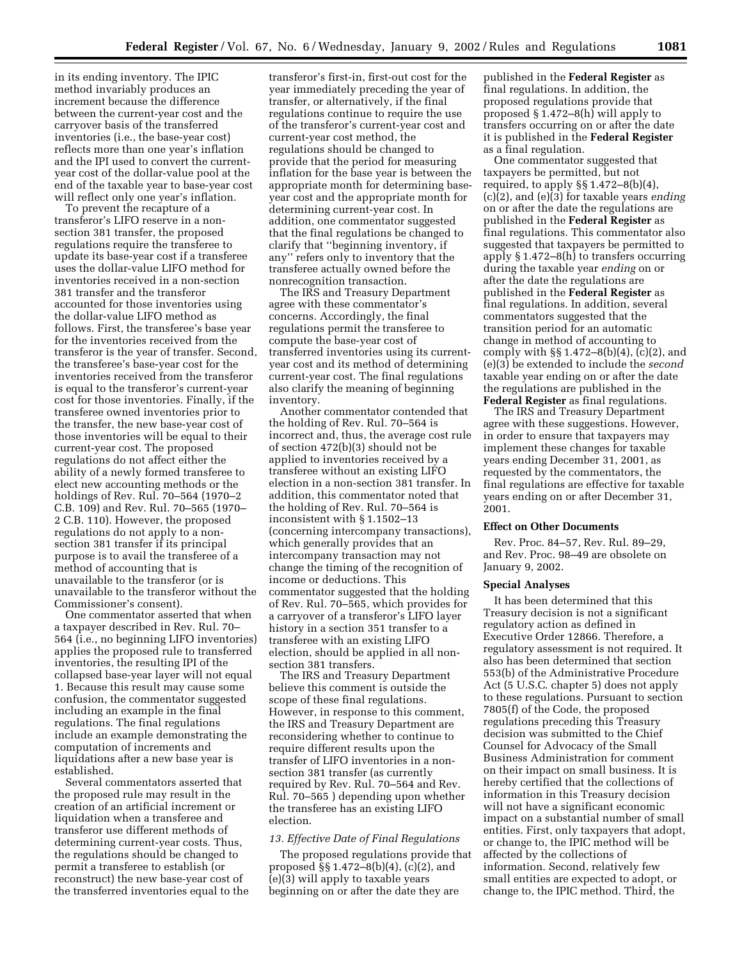in its ending inventory. The IPIC method invariably produces an increment because the difference between the current-year cost and the carryover basis of the transferred inventories (i.e., the base-year cost) reflects more than one year's inflation and the IPI used to convert the currentyear cost of the dollar-value pool at the end of the taxable year to base-year cost will reflect only one year's inflation.

To prevent the recapture of a transferor's LIFO reserve in a nonsection 381 transfer, the proposed regulations require the transferee to update its base-year cost if a transferee uses the dollar-value LIFO method for inventories received in a non-section 381 transfer and the transferor accounted for those inventories using the dollar-value LIFO method as follows. First, the transferee's base year for the inventories received from the transferor is the year of transfer. Second, the transferee's base-year cost for the inventories received from the transferor is equal to the transferor's current-year cost for those inventories. Finally, if the transferee owned inventories prior to the transfer, the new base-year cost of those inventories will be equal to their current-year cost. The proposed regulations do not affect either the ability of a newly formed transferee to elect new accounting methods or the holdings of Rev. Rul. 70–564 (1970–2 C.B. 109) and Rev. Rul. 70–565 (1970– 2 C.B. 110). However, the proposed regulations do not apply to a nonsection 381 transfer if its principal purpose is to avail the transferee of a method of accounting that is unavailable to the transferor (or is unavailable to the transferor without the Commissioner's consent).

One commentator asserted that when a taxpayer described in Rev. Rul. 70– 564 (i.e., no beginning LIFO inventories) applies the proposed rule to transferred inventories, the resulting IPI of the collapsed base-year layer will not equal 1. Because this result may cause some confusion, the commentator suggested including an example in the final regulations. The final regulations include an example demonstrating the computation of increments and liquidations after a new base year is established.

Several commentators asserted that the proposed rule may result in the creation of an artificial increment or liquidation when a transferee and transferor use different methods of determining current-year costs. Thus, the regulations should be changed to permit a transferee to establish (or reconstruct) the new base-year cost of the transferred inventories equal to the

transferor's first-in, first-out cost for the year immediately preceding the year of transfer, or alternatively, if the final regulations continue to require the use of the transferor's current-year cost and current-year cost method, the regulations should be changed to provide that the period for measuring inflation for the base year is between the appropriate month for determining baseyear cost and the appropriate month for determining current-year cost. In addition, one commentator suggested that the final regulations be changed to clarify that ''beginning inventory, if any'' refers only to inventory that the transferee actually owned before the nonrecognition transaction.

The IRS and Treasury Department agree with these commentator's concerns. Accordingly, the final regulations permit the transferee to compute the base-year cost of transferred inventories using its currentyear cost and its method of determining current-year cost. The final regulations also clarify the meaning of beginning inventory.

Another commentator contended that the holding of Rev. Rul. 70–564 is incorrect and, thus, the average cost rule of section 472(b)(3) should not be applied to inventories received by a transferee without an existing LIFO election in a non-section 381 transfer. In addition, this commentator noted that the holding of Rev. Rul. 70–564 is inconsistent with § 1.1502–13 (concerning intercompany transactions), which generally provides that an intercompany transaction may not change the timing of the recognition of income or deductions. This commentator suggested that the holding of Rev. Rul. 70–565, which provides for a carryover of a transferor's LIFO layer history in a section 351 transfer to a transferee with an existing LIFO election, should be applied in all nonsection 381 transfers.

The IRS and Treasury Department believe this comment is outside the scope of these final regulations. However, in response to this comment, the IRS and Treasury Department are reconsidering whether to continue to require different results upon the transfer of LIFO inventories in a nonsection 381 transfer (as currently required by Rev. Rul. 70–564 and Rev. Rul. 70–565 ) depending upon whether the transferee has an existing LIFO election.

#### *13. Effective Date of Final Regulations*

The proposed regulations provide that proposed §§ 1.472–8(b)(4), (c)(2), and (e)(3) will apply to taxable years beginning on or after the date they are

published in the **Federal Register** as final regulations. In addition, the proposed regulations provide that proposed § 1.472–8(h) will apply to transfers occurring on or after the date it is published in the **Federal Register** as a final regulation.

One commentator suggested that taxpayers be permitted, but not required, to apply  $\S\S 1.472-8(b)(4)$ , (c)(2), and (e)(3) for taxable years *ending* on or after the date the regulations are published in the **Federal Register** as final regulations. This commentator also suggested that taxpayers be permitted to apply § 1.472–8(h) to transfers occurring during the taxable year *ending* on or after the date the regulations are published in the **Federal Register** as final regulations. In addition, several commentators suggested that the transition period for an automatic change in method of accounting to comply with §§ 1.472–8(b)(4), (c)(2), and (e)(3) be extended to include the *second* taxable year ending on or after the date the regulations are published in the **Federal Register** as final regulations.

The IRS and Treasury Department agree with these suggestions. However, in order to ensure that taxpayers may implement these changes for taxable years ending December 31, 2001, as requested by the commentators, the final regulations are effective for taxable years ending on or after December 31, 2001.

#### **Effect on Other Documents**

Rev. Proc. 84–57, Rev. Rul. 89–29, and Rev. Proc. 98–49 are obsolete on January 9, 2002.

#### **Special Analyses**

It has been determined that this Treasury decision is not a significant regulatory action as defined in Executive Order 12866. Therefore, a regulatory assessment is not required. It also has been determined that section 553(b) of the Administrative Procedure Act (5 U.S.C. chapter 5) does not apply to these regulations. Pursuant to section 7805(f) of the Code, the proposed regulations preceding this Treasury decision was submitted to the Chief Counsel for Advocacy of the Small Business Administration for comment on their impact on small business. It is hereby certified that the collections of information in this Treasury decision will not have a significant economic impact on a substantial number of small entities. First, only taxpayers that adopt, or change to, the IPIC method will be affected by the collections of information. Second, relatively few small entities are expected to adopt, or change to, the IPIC method. Third, the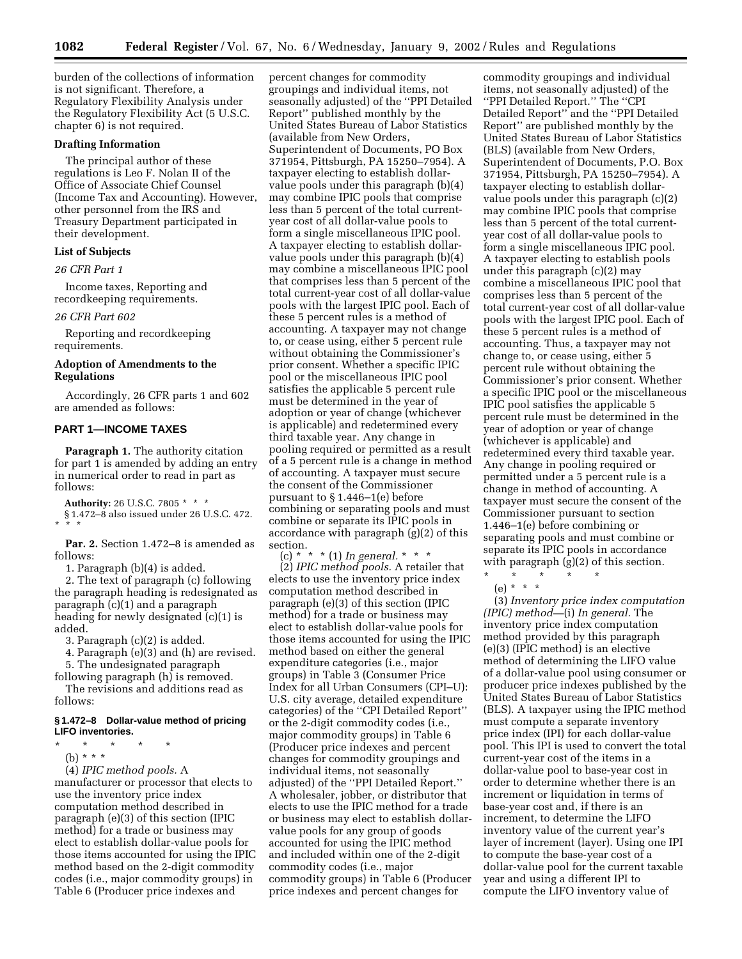burden of the collections of information is not significant. Therefore, a Regulatory Flexibility Analysis under the Regulatory Flexibility Act (5 U.S.C. chapter 6) is not required.

# **Drafting Information**

The principal author of these regulations is Leo F. Nolan II of the Office of Associate Chief Counsel (Income Tax and Accounting). However, other personnel from the IRS and Treasury Department participated in their development.

# **List of Subjects**

*26 CFR Part 1*

Income taxes, Reporting and recordkeeping requirements.

#### *26 CFR Part 602*

Reporting and recordkeeping requirements.

# **Adoption of Amendments to the Regulations**

Accordingly, 26 CFR parts 1 and 602 are amended as follows:

# **PART 1—INCOME TAXES**

Paragraph 1. The authority citation for part 1 is amended by adding an entry in numerical order to read in part as follows:

**Authority:** 26 U.S.C. 7805 \* \* \* § 1.472–8 also issued under 26 U.S.C. 472. \*\*\*

**Par. 2.** Section 1.472–8 is amended as follows:

1. Paragraph (b)(4) is added.

2. The text of paragraph (c) following the paragraph heading is redesignated as paragraph (c)(1) and a paragraph heading for newly designated (c)(1) is added.

3. Paragraph (c)(2) is added.

4. Paragraph (e)(3) and (h) are revised. 5. The undesignated paragraph

following paragraph (h) is removed.

The revisions and additions read as follows:

# **§ 1.472–8 Dollar-value method of pricing LIFO inventories.**

\* \* \* \* \* (b) \* \* \*

(4) *IPIC method pools.* A

manufacturer or processor that elects to use the inventory price index computation method described in paragraph (e)(3) of this section (IPIC method) for a trade or business may elect to establish dollar-value pools for those items accounted for using the IPIC method based on the 2-digit commodity codes (i.e., major commodity groups) in Table 6 (Producer price indexes and

percent changes for commodity groupings and individual items, not seasonally adjusted) of the ''PPI Detailed Report'' published monthly by the United States Bureau of Labor Statistics (available from New Orders, Superintendent of Documents, PO Box 371954, Pittsburgh, PA 15250–7954). A taxpayer electing to establish dollarvalue pools under this paragraph (b)(4) may combine IPIC pools that comprise less than 5 percent of the total currentyear cost of all dollar-value pools to form a single miscellaneous IPIC pool. A taxpayer electing to establish dollarvalue pools under this paragraph (b)(4) may combine a miscellaneous IPIC pool that comprises less than 5 percent of the total current-year cost of all dollar-value pools with the largest IPIC pool. Each of these 5 percent rules is a method of accounting. A taxpayer may not change to, or cease using, either 5 percent rule without obtaining the Commissioner's prior consent. Whether a specific IPIC pool or the miscellaneous IPIC pool satisfies the applicable 5 percent rule must be determined in the year of adoption or year of change (whichever is applicable) and redetermined every third taxable year. Any change in pooling required or permitted as a result of a 5 percent rule is a change in method of accounting. A taxpayer must secure the consent of the Commissioner pursuant to § 1.446–1(e) before combining or separating pools and must combine or separate its IPIC pools in accordance with paragraph (g)(2) of this section.

(c) \* \* \* (1) *In general.* \*\*\* (2) *IPIC method pools.* A retailer that elects to use the inventory price index computation method described in paragraph (e)(3) of this section (IPIC method) for a trade or business may elect to establish dollar-value pools for those items accounted for using the IPIC method based on either the general expenditure categories (i.e., major groups) in Table 3 (Consumer Price Index for all Urban Consumers (CPI–U): U.S. city average, detailed expenditure categories) of the ''CPI Detailed Report'' or the 2-digit commodity codes (i.e., major commodity groups) in Table 6 (Producer price indexes and percent changes for commodity groupings and individual items, not seasonally adjusted) of the ''PPI Detailed Report.'' A wholesaler, jobber, or distributor that elects to use the IPIC method for a trade or business may elect to establish dollarvalue pools for any group of goods accounted for using the IPIC method and included within one of the 2-digit commodity codes (i.e., major commodity groups) in Table 6 (Producer price indexes and percent changes for

commodity groupings and individual items, not seasonally adjusted) of the ''PPI Detailed Report.'' The ''CPI Detailed Report'' and the ''PPI Detailed Report'' are published monthly by the United States Bureau of Labor Statistics (BLS) (available from New Orders, Superintendent of Documents, P.O. Box 371954, Pittsburgh, PA 15250–7954). A taxpayer electing to establish dollarvalue pools under this paragraph (c)(2) may combine IPIC pools that comprise less than 5 percent of the total currentyear cost of all dollar-value pools to form a single miscellaneous IPIC pool. A taxpayer electing to establish pools under this paragraph (c)(2) may combine a miscellaneous IPIC pool that comprises less than 5 percent of the total current-year cost of all dollar-value pools with the largest IPIC pool. Each of these 5 percent rules is a method of accounting. Thus, a taxpayer may not change to, or cease using, either 5 percent rule without obtaining the Commissioner's prior consent. Whether a specific IPIC pool or the miscellaneous IPIC pool satisfies the applicable 5 percent rule must be determined in the year of adoption or year of change (whichever is applicable) and redetermined every third taxable year. Any change in pooling required or permitted under a 5 percent rule is a change in method of accounting. A taxpayer must secure the consent of the Commissioner pursuant to section 1.446–1(e) before combining or separating pools and must combine or separate its IPIC pools in accordance with paragraph  $(g)(2)$  of this section.

\* \* \* \* \*

(e) \* \* \*

(3) *Inventory price index computation (IPIC) method—*(i) *In general.* The inventory price index computation method provided by this paragraph (e)(3) (IPIC method) is an elective method of determining the LIFO value of a dollar-value pool using consumer or producer price indexes published by the United States Bureau of Labor Statistics (BLS). A taxpayer using the IPIC method must compute a separate inventory price index (IPI) for each dollar-value pool. This IPI is used to convert the total current-year cost of the items in a dollar-value pool to base-year cost in order to determine whether there is an increment or liquidation in terms of base-year cost and, if there is an increment, to determine the LIFO inventory value of the current year's layer of increment (layer). Using one IPI to compute the base-year cost of a dollar-value pool for the current taxable year and using a different IPI to compute the LIFO inventory value of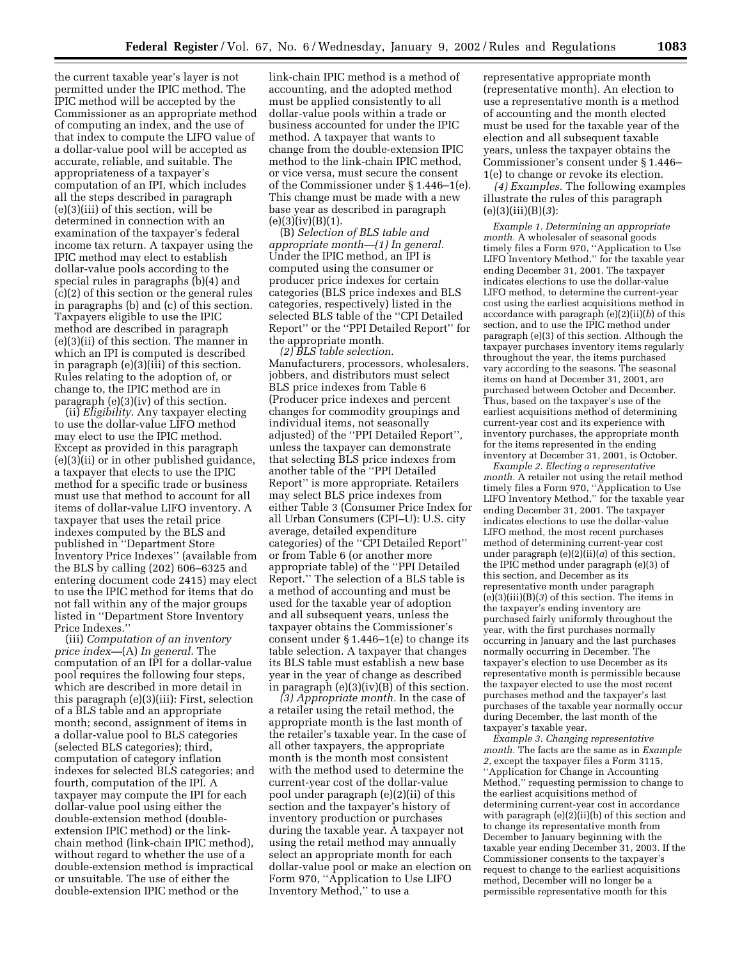the current taxable year's layer is not permitted under the IPIC method. The IPIC method will be accepted by the Commissioner as an appropriate method of computing an index, and the use of that index to compute the LIFO value of a dollar-value pool will be accepted as accurate, reliable, and suitable. The appropriateness of a taxpayer's computation of an IPI, which includes all the steps described in paragraph (e)(3)(iii) of this section, will be determined in connection with an examination of the taxpayer's federal income tax return. A taxpayer using the IPIC method may elect to establish dollar-value pools according to the special rules in paragraphs (b)(4) and (c)(2) of this section or the general rules in paragraphs (b) and (c) of this section. Taxpayers eligible to use the IPIC method are described in paragraph (e)(3)(ii) of this section. The manner in which an IPI is computed is described in paragraph (e)(3)(iii) of this section. Rules relating to the adoption of, or change to, the IPIC method are in paragraph (e)(3)(iv) of this section.

(ii) *Eligibility.* Any taxpayer electing to use the dollar-value LIFO method may elect to use the IPIC method. Except as provided in this paragraph (e)(3)(ii) or in other published guidance, a taxpayer that elects to use the IPIC method for a specific trade or business must use that method to account for all items of dollar-value LIFO inventory. A taxpayer that uses the retail price indexes computed by the BLS and published in ''Department Store Inventory Price Indexes'' (available from the BLS by calling (202) 606–6325 and entering document code 2415) may elect to use the IPIC method for items that do not fall within any of the major groups listed in ''Department Store Inventory Price Indexes.''

(iii) *Computation of an inventory price index—*(A) *In general.* The computation of an IPI for a dollar-value pool requires the following four steps, which are described in more detail in this paragraph (e)(3)(iii): First, selection of a BLS table and an appropriate month; second, assignment of items in a dollar-value pool to BLS categories (selected BLS categories); third, computation of category inflation indexes for selected BLS categories; and fourth, computation of the IPI. A taxpayer may compute the IPI for each dollar-value pool using either the double-extension method (doubleextension IPIC method) or the linkchain method (link-chain IPIC method), without regard to whether the use of a double-extension method is impractical or unsuitable. The use of either the double-extension IPIC method or the

link-chain IPIC method is a method of accounting, and the adopted method must be applied consistently to all dollar-value pools within a trade or business accounted for under the IPIC method. A taxpayer that wants to change from the double-extension IPIC method to the link-chain IPIC method, or vice versa, must secure the consent of the Commissioner under § 1.446–1(e). This change must be made with a new base year as described in paragraph  $(e)(3)(iv)(B)(1).$ 

(B) *Selection of BLS table and appropriate month—(1) In general.* Under the IPIC method, an IPI is computed using the consumer or producer price indexes for certain categories (BLS price indexes and BLS categories, respectively) listed in the selected BLS table of the ''CPI Detailed Report'' or the ''PPI Detailed Report'' for the appropriate month.

*(2) BLS table selection.* Manufacturers, processors, wholesalers, jobbers, and distributors must select BLS price indexes from Table 6 (Producer price indexes and percent changes for commodity groupings and individual items, not seasonally adjusted) of the ''PPI Detailed Report'', unless the taxpayer can demonstrate that selecting BLS price indexes from another table of the ''PPI Detailed Report'' is more appropriate. Retailers may select BLS price indexes from either Table 3 (Consumer Price Index for all Urban Consumers (CPI–U): U.S. city average, detailed expenditure categories) of the ''CPI Detailed Report'' or from Table 6 (or another more appropriate table) of the ''PPI Detailed Report.'' The selection of a BLS table is a method of accounting and must be used for the taxable year of adoption and all subsequent years, unless the taxpayer obtains the Commissioner's consent under  $\S 1.446-1$ (e) to change its table selection. A taxpayer that changes its BLS table must establish a new base year in the year of change as described in paragraph  $(e)(3)(iv)(B)$  of this section.

*(3) Appropriate month.* In the case of a retailer using the retail method, the appropriate month is the last month of the retailer's taxable year. In the case of all other taxpayers, the appropriate month is the month most consistent with the method used to determine the current-year cost of the dollar-value pool under paragraph (e)(2)(ii) of this section and the taxpayer's history of inventory production or purchases during the taxable year. A taxpayer not using the retail method may annually select an appropriate month for each dollar-value pool or make an election on Form 970, ''Application to Use LIFO Inventory Method,'' to use a

representative appropriate month (representative month). An election to use a representative month is a method of accounting and the month elected must be used for the taxable year of the election and all subsequent taxable years, unless the taxpayer obtains the Commissioner's consent under § 1.446– 1(e) to change or revoke its election.

*(4) Examples.* The following examples illustrate the rules of this paragraph (e)(3)(iii)(B)(*3*):

*Example 1. Determining an appropriate month.* A wholesaler of seasonal goods timely files a Form 970, ''Application to Use LIFO Inventory Method,'' for the taxable year ending December 31, 2001. The taxpayer indicates elections to use the dollar-value LIFO method, to determine the current-year cost using the earliest acquisitions method in accordance with paragraph (e)(2)(ii)(*b*) of this section, and to use the IPIC method under paragraph (e)(3) of this section. Although the taxpayer purchases inventory items regularly throughout the year, the items purchased vary according to the seasons. The seasonal items on hand at December 31, 2001, are purchased between October and December. Thus, based on the taxpayer's use of the earliest acquisitions method of determining current-year cost and its experience with inventory purchases, the appropriate month for the items represented in the ending inventory at December 31, 2001, is October.

*Example 2. Electing a representative month.* A retailer not using the retail method timely files a Form 970, ''Application to Use LIFO Inventory Method,'' for the taxable year ending December 31, 2001. The taxpayer indicates elections to use the dollar-value LIFO method, the most recent purchases method of determining current-year cost under paragraph  $(e)(2)$ (ii)(*a*) of this section, the IPIC method under paragraph (e)(3) of this section, and December as its representative month under paragraph  $(e)(3)(iii)(B)(3)$  of this section. The items in the taxpayer's ending inventory are purchased fairly uniformly throughout the year, with the first purchases normally occurring in January and the last purchases normally occurring in December. The taxpayer's election to use December as its representative month is permissible because the taxpayer elected to use the most recent purchases method and the taxpayer's last purchases of the taxable year normally occur during December, the last month of the taxpayer's taxable year.

*Example 3. Changing representative month.* The facts are the same as in *Example 2,* except the taxpayer files a Form 3115, ''Application for Change in Accounting Method,'' requesting permission to change to the earliest acquisitions method of determining current-year cost in accordance with paragraph (e)(2)(ii)(b) of this section and to change its representative month from December to January beginning with the taxable year ending December 31, 2003. If the Commissioner consents to the taxpayer's request to change to the earliest acquisitions method, December will no longer be a permissible representative month for this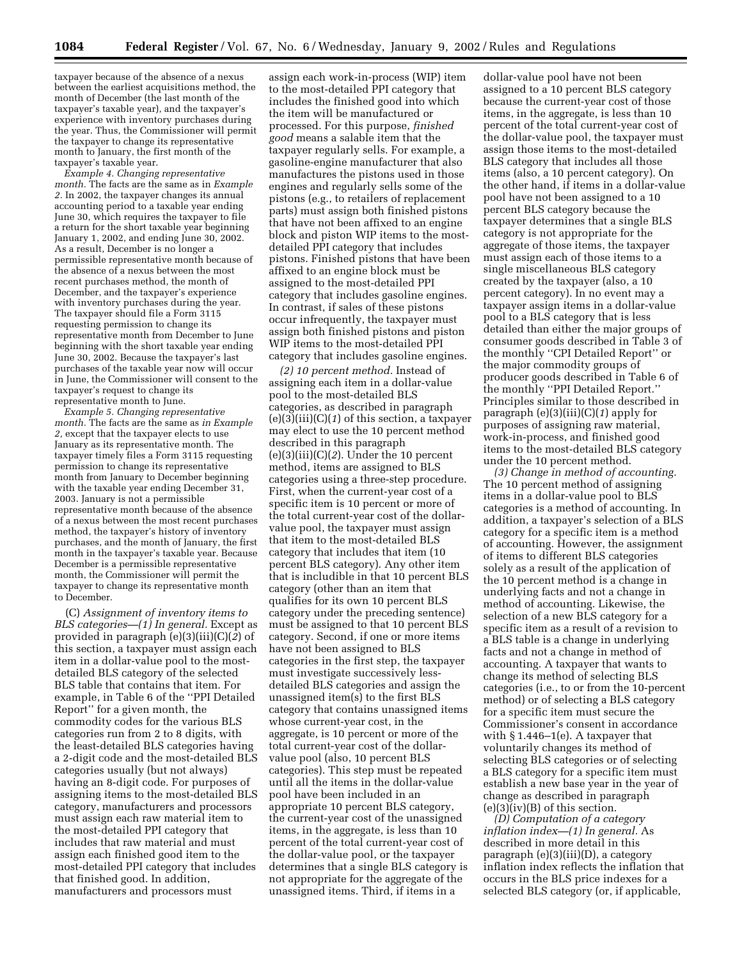taxpayer because of the absence of a nexus between the earliest acquisitions method, the month of December (the last month of the taxpayer's taxable year), and the taxpayer's experience with inventory purchases during the year. Thus, the Commissioner will permit the taxpayer to change its representative month to January, the first month of the taxpayer's taxable year.

*Example 4. Changing representative month.* The facts are the same as in *Example 2.* In 2002, the taxpayer changes its annual accounting period to a taxable year ending June 30, which requires the taxpayer to file a return for the short taxable year beginning January 1, 2002, and ending June 30, 2002. As a result, December is no longer a permissible representative month because of the absence of a nexus between the most recent purchases method, the month of December, and the taxpayer's experience with inventory purchases during the year. The taxpayer should file a Form 3115 requesting permission to change its representative month from December to June beginning with the short taxable year ending June 30, 2002. Because the taxpayer's last purchases of the taxable year now will occur in June, the Commissioner will consent to the taxpayer's request to change its representative month to June.

*Example 5. Changing representative month.* The facts are the same as *in Example 2,* except that the taxpayer elects to use January as its representative month. The taxpayer timely files a Form 3115 requesting permission to change its representative month from January to December beginning with the taxable year ending December 31, 2003. January is not a permissible representative month because of the absence of a nexus between the most recent purchases method, the taxpayer's history of inventory purchases, and the month of January, the first month in the taxpayer's taxable year. Because December is a permissible representative month, the Commissioner will permit the taxpayer to change its representative month to December.

(C) *Assignment of inventory items to BLS categories—(1) In general.* Except as provided in paragraph (e)(3)(iii)(C)(*2*) of this section, a taxpayer must assign each item in a dollar-value pool to the mostdetailed BLS category of the selected BLS table that contains that item. For example, in Table 6 of the ''PPI Detailed Report'' for a given month, the commodity codes for the various BLS categories run from 2 to 8 digits, with the least-detailed BLS categories having a 2-digit code and the most-detailed BLS categories usually (but not always) having an 8-digit code. For purposes of assigning items to the most-detailed BLS category, manufacturers and processors must assign each raw material item to the most-detailed PPI category that includes that raw material and must assign each finished good item to the most-detailed PPI category that includes that finished good. In addition, manufacturers and processors must

assign each work-in-process (WIP) item to the most-detailed PPI category that includes the finished good into which the item will be manufactured or processed. For this purpose, *finished good* means a salable item that the taxpayer regularly sells. For example, a gasoline-engine manufacturer that also manufactures the pistons used in those engines and regularly sells some of the pistons (e.g., to retailers of replacement parts) must assign both finished pistons that have not been affixed to an engine block and piston WIP items to the mostdetailed PPI category that includes pistons. Finished pistons that have been affixed to an engine block must be assigned to the most-detailed PPI category that includes gasoline engines. In contrast, if sales of these pistons occur infrequently, the taxpayer must assign both finished pistons and piston WIP items to the most-detailed PPI category that includes gasoline engines.

*(2) 10 percent method.* Instead of assigning each item in a dollar-value pool to the most-detailed BLS categories, as described in paragraph (e)(3)(iii)(C)(*1*) of this section, a taxpayer may elect to use the 10 percent method described in this paragraph (e)(3)(iii)(C)(*2*). Under the 10 percent method, items are assigned to BLS categories using a three-step procedure. First, when the current-year cost of a specific item is 10 percent or more of the total current-year cost of the dollarvalue pool, the taxpayer must assign that item to the most-detailed BLS category that includes that item (10 percent BLS category). Any other item that is includible in that 10 percent BLS category (other than an item that qualifies for its own 10 percent BLS category under the preceding sentence) must be assigned to that 10 percent BLS category. Second, if one or more items have not been assigned to BLS categories in the first step, the taxpayer must investigate successively lessdetailed BLS categories and assign the unassigned item $(s)$  to the first BLS category that contains unassigned items whose current-year cost, in the aggregate, is 10 percent or more of the total current-year cost of the dollarvalue pool (also, 10 percent BLS categories). This step must be repeated until all the items in the dollar-value pool have been included in an appropriate 10 percent BLS category, the current-year cost of the unassigned items, in the aggregate, is less than 10 percent of the total current-year cost of the dollar-value pool, or the taxpayer determines that a single BLS category is not appropriate for the aggregate of the unassigned items. Third, if items in a

dollar-value pool have not been assigned to a 10 percent BLS category because the current-year cost of those items, in the aggregate, is less than 10 percent of the total current-year cost of the dollar-value pool, the taxpayer must assign those items to the most-detailed BLS category that includes all those items (also, a 10 percent category). On the other hand, if items in a dollar-value pool have not been assigned to a 10 percent BLS category because the taxpayer determines that a single BLS category is not appropriate for the aggregate of those items, the taxpayer must assign each of those items to a single miscellaneous BLS category created by the taxpayer (also, a 10 percent category). In no event may a taxpayer assign items in a dollar-value pool to a BLS category that is less detailed than either the major groups of consumer goods described in Table 3 of the monthly ''CPI Detailed Report'' or the major commodity groups of producer goods described in Table 6 of the monthly ''PPI Detailed Report.'' Principles similar to those described in paragraph (e)(3)(iii)(C)(*1*) apply for purposes of assigning raw material, work-in-process, and finished good items to the most-detailed BLS category under the 10 percent method.

*(3) Change in method of accounting.* The 10 percent method of assigning items in a dollar-value pool to BLS categories is a method of accounting. In addition, a taxpayer's selection of a BLS category for a specific item is a method of accounting. However, the assignment of items to different BLS categories solely as a result of the application of the 10 percent method is a change in underlying facts and not a change in method of accounting. Likewise, the selection of a new BLS category for a specific item as a result of a revision to a BLS table is a change in underlying facts and not a change in method of accounting. A taxpayer that wants to change its method of selecting BLS categories (i.e., to or from the 10-percent method) or of selecting a BLS category for a specific item must secure the Commissioner's consent in accordance with  $\S 1.446-1$ (e). A taxpayer that voluntarily changes its method of selecting BLS categories or of selecting a BLS category for a specific item must establish a new base year in the year of change as described in paragraph  $(e)(3)(iv)(B)$  of this section.

*(D) Computation of a category inflation index—(1) In general.* As described in more detail in this paragraph (e)(3)(iii)(D), a category inflation index reflects the inflation that occurs in the BLS price indexes for a selected BLS category (or, if applicable,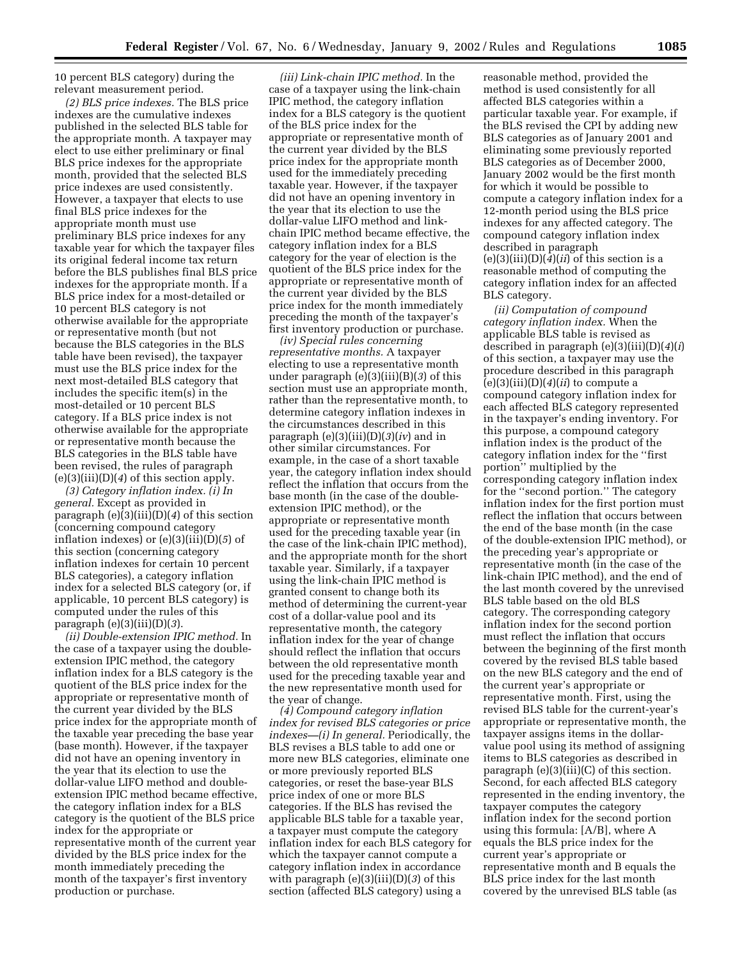10 percent BLS category) during the relevant measurement period.

*(2) BLS price indexes.* The BLS price indexes are the cumulative indexes published in the selected BLS table for the appropriate month. A taxpayer may elect to use either preliminary or final BLS price indexes for the appropriate month, provided that the selected BLS price indexes are used consistently. However, a taxpayer that elects to use final BLS price indexes for the appropriate month must use preliminary BLS price indexes for any taxable year for which the taxpayer files its original federal income tax return before the BLS publishes final BLS price indexes for the appropriate month. If a BLS price index for a most-detailed or 10 percent BLS category is not otherwise available for the appropriate or representative month (but not because the BLS categories in the BLS table have been revised), the taxpayer must use the BLS price index for the next most-detailed BLS category that includes the specific item(s) in the most-detailed or 10 percent BLS category. If a BLS price index is not otherwise available for the appropriate or representative month because the BLS categories in the BLS table have been revised, the rules of paragraph (e)(3)(iii)(D)(*4*) of this section apply.

*(3) Category inflation index. (i) In general.* Except as provided in paragraph (e)(3)(iii)(D)(*4*) of this section (concerning compound category inflation indexes) or (e)(3)(iii)(D)(*5*) of this section (concerning category inflation indexes for certain 10 percent BLS categories), a category inflation index for a selected BLS category (or, if applicable, 10 percent BLS category) is computed under the rules of this paragraph (e)(3)(iii)(D)(*3*).

*(ii) Double-extension IPIC method.* In the case of a taxpayer using the doubleextension IPIC method, the category inflation index for a BLS category is the quotient of the BLS price index for the appropriate or representative month of the current year divided by the BLS price index for the appropriate month of the taxable year preceding the base year (base month). However, if the taxpayer did not have an opening inventory in the year that its election to use the dollar-value LIFO method and doubleextension IPIC method became effective, the category inflation index for a BLS category is the quotient of the BLS price index for the appropriate or representative month of the current year divided by the BLS price index for the month immediately preceding the month of the taxpayer's first inventory production or purchase.

*(iii) Link-chain IPIC method.* In the case of a taxpayer using the link-chain IPIC method, the category inflation index for a BLS category is the quotient of the BLS price index for the appropriate or representative month of the current year divided by the BLS price index for the appropriate month used for the immediately preceding taxable year. However, if the taxpayer did not have an opening inventory in the year that its election to use the dollar-value LIFO method and linkchain IPIC method became effective, the category inflation index for a BLS category for the year of election is the quotient of the BLS price index for the appropriate or representative month of the current year divided by the BLS price index for the month immediately preceding the month of the taxpayer's first inventory production or purchase.

*(iv) Special rules concerning representative months.* A taxpayer electing to use a representative month under paragraph (e)(3)(iii)(B)(*3*) of this section must use an appropriate month, rather than the representative month, to determine category inflation indexes in the circumstances described in this paragraph (e)(3)(iii)(D)(*3*)(*iv*) and in other similar circumstances. For example, in the case of a short taxable year, the category inflation index should reflect the inflation that occurs from the base month (in the case of the doubleextension IPIC method), or the appropriate or representative month used for the preceding taxable year (in the case of the link-chain IPIC method), and the appropriate month for the short taxable year. Similarly, if a taxpayer using the link-chain IPIC method is granted consent to change both its method of determining the current-year cost of a dollar-value pool and its representative month, the category inflation index for the year of change should reflect the inflation that occurs between the old representative month used for the preceding taxable year and the new representative month used for the year of change.

*(4) Compound category inflation index for revised BLS categories or price indexes—(i) In general.* Periodically, the BLS revises a BLS table to add one or more new BLS categories, eliminate one or more previously reported BLS categories, or reset the base-year BLS price index of one or more BLS categories. If the BLS has revised the applicable BLS table for a taxable year, a taxpayer must compute the category inflation index for each BLS category for which the taxpayer cannot compute a category inflation index in accordance with paragraph (e)(3)(iii)(D)(*3*) of this section (affected BLS category) using a

reasonable method, provided the method is used consistently for all affected BLS categories within a particular taxable year. For example, if the BLS revised the CPI by adding new BLS categories as of January 2001 and eliminating some previously reported BLS categories as of December 2000, January 2002 would be the first month for which it would be possible to compute a category inflation index for a 12-month period using the BLS price indexes for any affected category. The compound category inflation index described in paragraph  $(e)(3)(iii)(D)(4)(ii)$  of this section is a reasonable method of computing the category inflation index for an affected BLS category.

*(ii) Computation of compound category inflation index.* When the applicable BLS table is revised as described in paragraph (e)(3)(iii)(D)(*4*)(*i*) of this section, a taxpayer may use the procedure described in this paragraph (e)(3)(iii)(D)(*4*)(*ii*) to compute a compound category inflation index for each affected BLS category represented in the taxpayer's ending inventory. For this purpose, a compound category inflation index is the product of the category inflation index for the ''first portion'' multiplied by the corresponding category inflation index for the ''second portion.'' The category inflation index for the first portion must reflect the inflation that occurs between the end of the base month (in the case of the double-extension IPIC method), or the preceding year's appropriate or representative month (in the case of the link-chain IPIC method), and the end of the last month covered by the unrevised BLS table based on the old BLS category. The corresponding category inflation index for the second portion must reflect the inflation that occurs between the beginning of the first month covered by the revised BLS table based on the new BLS category and the end of the current year's appropriate or representative month. First, using the revised BLS table for the current-year's appropriate or representative month, the taxpayer assigns items in the dollarvalue pool using its method of assigning items to BLS categories as described in paragraph  $(e)(3)(iii)(C)$  of this section. Second, for each affected BLS category represented in the ending inventory, the taxpayer computes the category inflation index for the second portion using this formula: [A/B], where A equals the BLS price index for the current year's appropriate or representative month and B equals the BLS price index for the last month covered by the unrevised BLS table (as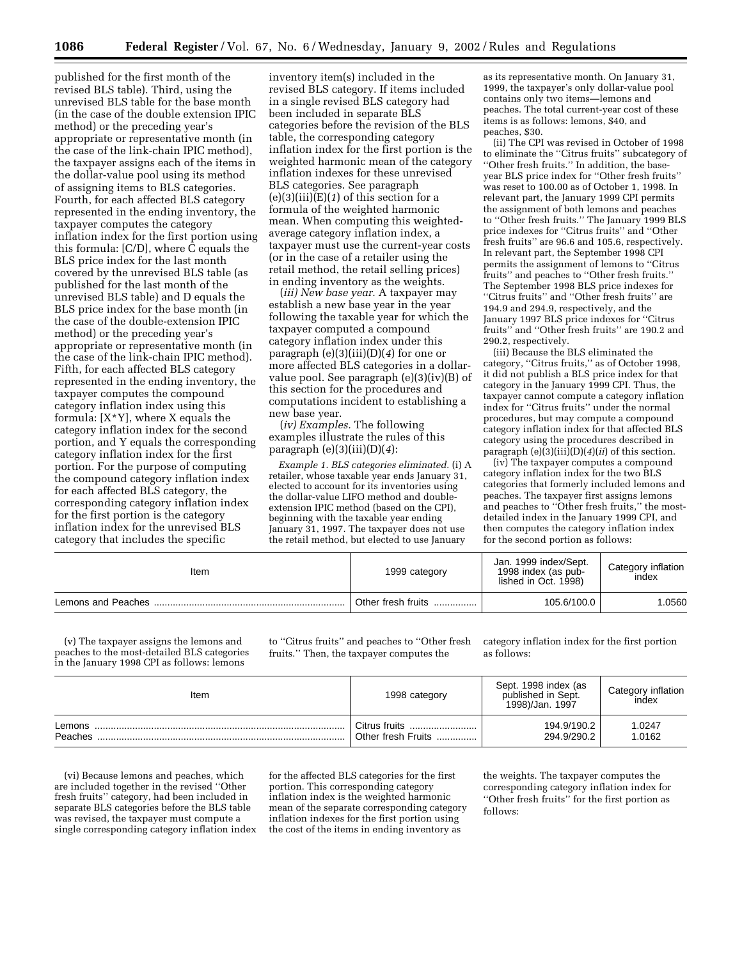published for the first month of the revised BLS table). Third, using the unrevised BLS table for the base month (in the case of the double extension IPIC method) or the preceding year's appropriate or representative month (in the case of the link-chain IPIC method), the taxpayer assigns each of the items in the dollar-value pool using its method of assigning items to BLS categories. Fourth, for each affected BLS category represented in the ending inventory, the taxpayer computes the category inflation index for the first portion using this formula: [C/D], where C equals the BLS price index for the last month covered by the unrevised BLS table (as published for the last month of the unrevised BLS table) and D equals the BLS price index for the base month (in the case of the double-extension IPIC method) or the preceding year's appropriate or representative month (in the case of the link-chain IPIC method). Fifth, for each affected BLS category represented in the ending inventory, the taxpayer computes the compound category inflation index using this formula: [X\*Y], where X equals the category inflation index for the second portion, and Y equals the corresponding category inflation index for the first portion. For the purpose of computing the compound category inflation index for each affected BLS category, the corresponding category inflation index for the first portion is the category inflation index for the unrevised BLS category that includes the specific

inventory item(s) included in the revised BLS category. If items included in a single revised BLS category had been included in separate BLS categories before the revision of the BLS table, the corresponding category inflation index for the first portion is the weighted harmonic mean of the category inflation indexes for these unrevised BLS categories. See paragraph  $(e)(3)(iii)(E)(1)$  of this section for a formula of the weighted harmonic mean. When computing this weightedaverage category inflation index, a taxpayer must use the current-year costs (or in the case of a retailer using the retail method, the retail selling prices) in ending inventory as the weights.

(*iii) New base year.* A taxpayer may establish a new base year in the year following the taxable year for which the taxpayer computed a compound category inflation index under this paragraph (e)(3)(iii)(D)(*4*) for one or more affected BLS categories in a dollarvalue pool. See paragraph (e)(3)(iv)(B) of this section for the procedures and computations incident to establishing a new base year.

(*iv) Examples.* The following examples illustrate the rules of this paragraph (e)(3)(iii)(D)(*4*):

*Example 1. BLS categories eliminated.* (i) A retailer, whose taxable year ends January 31, elected to account for its inventories using the dollar-value LIFO method and doubleextension IPIC method (based on the CPI), beginning with the taxable year ending January 31, 1997. The taxpayer does not use the retail method, but elected to use January

as its representative month. On January 31, 1999, the taxpayer's only dollar-value pool contains only two items—lemons and peaches. The total current-year cost of these items is as follows: lemons, \$40, and peaches, \$30.

(ii) The CPI was revised in October of 1998 to eliminate the ''Citrus fruits'' subcategory of ''Other fresh fruits.'' In addition, the baseyear BLS price index for ''Other fresh fruits'' was reset to 100.00 as of October 1, 1998. In relevant part, the January 1999 CPI permits the assignment of both lemons and peaches to ''Other fresh fruits.'' The January 1999 BLS price indexes for ''Citrus fruits'' and ''Other fresh fruits'' are 96.6 and 105.6, respectively. In relevant part, the September 1998 CPI permits the assignment of lemons to ''Citrus fruits'' and peaches to ''Other fresh fruits.'' The September 1998 BLS price indexes for ''Citrus fruits'' and ''Other fresh fruits'' are 194.9 and 294.9, respectively, and the January 1997 BLS price indexes for ''Citrus fruits'' and ''Other fresh fruits'' are 190.2 and 290.2, respectively.

(iii) Because the BLS eliminated the category, ''Citrus fruits,'' as of October 1998, it did not publish a BLS price index for that category in the January 1999 CPI. Thus, the taxpayer cannot compute a category inflation index for ''Citrus fruits'' under the normal procedures, but may compute a compound category inflation index for that affected BLS category using the procedures described in paragraph (e)(3)(iii)(D)(*4*)(*ii*) of this section.

(iv) The taxpayer computes a compound category inflation index for the two BLS categories that formerly included lemons and peaches. The taxpayer first assigns lemons and peaches to ''Other fresh fruits,'' the mostdetailed index in the January 1999 CPI, and then computes the category inflation index for the second portion as follows:

| Item | 1999 category      | Jan. 1999 index/Sept.<br>1998 index (as pub-<br>lished in Oct. 1998) | Category inflation<br>index |
|------|--------------------|----------------------------------------------------------------------|-----------------------------|
|      | Other fresh fruits | 105.6/100.0                                                          | .0560                       |

(v) The taxpayer assigns the lemons and peaches to the most-detailed BLS categories in the January 1998 CPI as follows: lemons

to ''Citrus fruits'' and peaches to ''Other fresh fruits.'' Then, the taxpayer computes the

category inflation index for the first portion as follows:

| Item    | 1998 category      | Sept. 1998 index (as<br>published in Sept.<br>1998)/Jan. 1997 | Category inflation<br>index |
|---------|--------------------|---------------------------------------------------------------|-----------------------------|
| Lemons  | . Citrus fruits    | 194.9/190.2                                                   | 1.0247                      |
| Peaches | Other fresh Fruits | 294.9/290.2                                                   | 1.0162                      |

(vi) Because lemons and peaches, which are included together in the revised ''Other fresh fruits'' category, had been included in separate BLS categories before the BLS table was revised, the taxpayer must compute a single corresponding category inflation index

for the affected BLS categories for the first portion. This corresponding category inflation index is the weighted harmonic mean of the separate corresponding category inflation indexes for the first portion using the cost of the items in ending inventory as

the weights. The taxpayer computes the corresponding category inflation index for ''Other fresh fruits'' for the first portion as follows: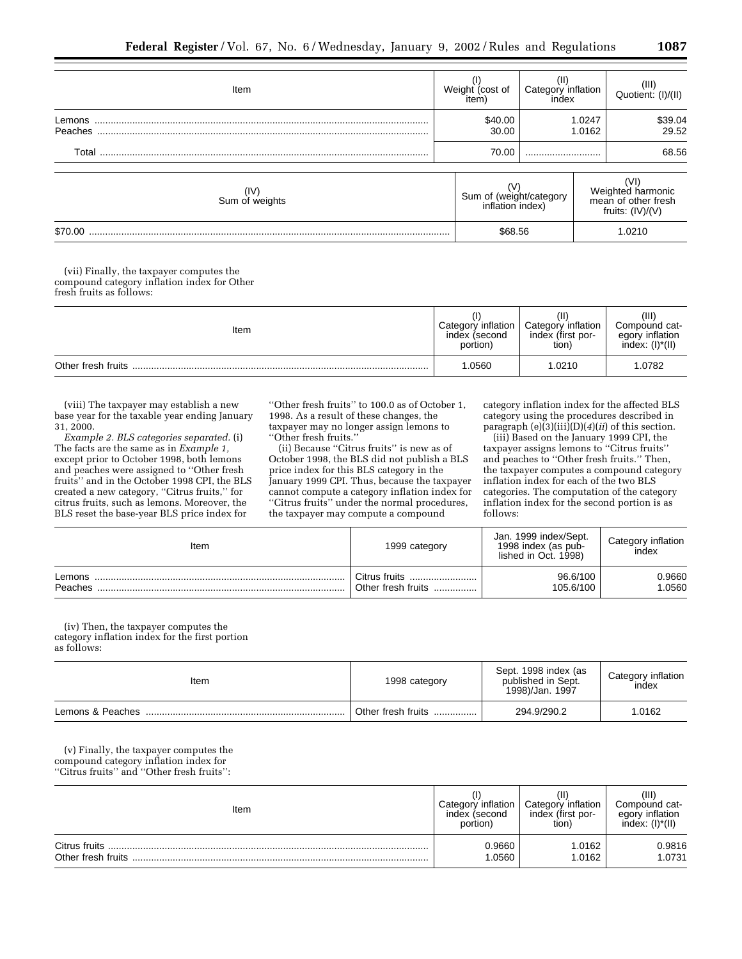| Item                   | Weight (cost of<br>item)                    | Category inflation<br>index |                  | $(III)$<br>Quotient: $(I)/(II)$                              |
|------------------------|---------------------------------------------|-----------------------------|------------------|--------------------------------------------------------------|
| Lemons<br>Peaches      | \$40.00<br>30.00                            |                             | 1.0247<br>1.0162 | \$39.04<br>29.52                                             |
| Total                  | 70.00                                       |                             |                  | 68.56                                                        |
| (IV)<br>Sum of weights | Sum of (weight/category<br>inflation index) |                             |                  | Weighted harmonic<br>mean of other fresh<br>fruits: (IV)/(V) |
| \$70.00                | \$68.56                                     |                             |                  | 1.0210                                                       |

(vii) Finally, the taxpayer computes the compound category inflation index for Other fresh fruits as follows:

| Item               | Category inflation<br>index (second<br>portion) | Ή<br>Category inflation<br>index (first por-<br>tion) | (III)<br>Compound cat-<br>egory inflation<br>$index: (I)^*(II)$ |
|--------------------|-------------------------------------------------|-------------------------------------------------------|-----------------------------------------------------------------|
| Other fresh fruits | 1.0560                                          | 1.0210                                                | .0782                                                           |

(viii) The taxpayer may establish a new base year for the taxable year ending January 31, 2000.

*Example 2. BLS categories separated.* (i) The facts are the same as in *Example 1,* except prior to October 1998, both lemons and peaches were assigned to ''Other fresh fruits'' and in the October 1998 CPI, the BLS created a new category, ''Citrus fruits,'' for citrus fruits, such as lemons. Moreover, the BLS reset the base-year BLS price index for

''Other fresh fruits'' to 100.0 as of October 1, 1998. As a result of these changes, the taxpayer may no longer assign lemons to ''Other fresh fruits.''

(ii) Because ''Citrus fruits'' is new as of October 1998, the BLS did not publish a BLS price index for this BLS category in the January 1999 CPI. Thus, because the taxpayer cannot compute a category inflation index for ''Citrus fruits'' under the normal procedures, the taxpayer may compute a compound

category inflation index for the affected BLS category using the procedures described in paragraph (e)(3)(iii)(D)(*4*)(*ii*) of this section.

(iii) Based on the January 1999 CPI, the taxpayer assigns lemons to ''Citrus fruits'' and peaches to "Other fresh fruits." Then, the taxpayer computes a compound category inflation index for each of the two BLS categories. The computation of the category inflation index for the second portion is as follows:

| Item    | 1999 category      | Jan. 1999 index/Sept.<br>1998 index (as pub-<br>lished in Oct. 1998) | Category inflation<br>index |
|---------|--------------------|----------------------------------------------------------------------|-----------------------------|
| Lemons  | Citrus fruits      | 96.6/100                                                             | 0.9660                      |
| Peaches | Other fresh fruits | 105.6/100                                                            | .0560                       |

(iv) Then, the taxpayer computes the category inflation index for the first portion as follows:

| Item             | 1998 category      | Sept. 1998 index (as<br>published in Sept.<br>1998)/Jan. 1997 | Category inflation<br>index |
|------------------|--------------------|---------------------------------------------------------------|-----------------------------|
| Lemons & Peaches | Other fresh fruits | 294.9/290.2                                                   | 1.0162                      |

(v) Finally, the taxpayer computes the compound category inflation index for ''Citrus fruits'' and ''Other fresh fruits'':

| Item                                | inflation<br>index (second<br>(portion | ≀ inflation<br>Category<br>index (first por-<br>tion) | (III<br>Compound cat-<br>egory inflation<br>$index: (I)^*(II)$ |
|-------------------------------------|----------------------------------------|-------------------------------------------------------|----------------------------------------------------------------|
| Citrus fruits<br>Other fresh fruits | 0.9660<br>.0560                        | .0162<br>.0162                                        | 0.9816<br>.0731                                                |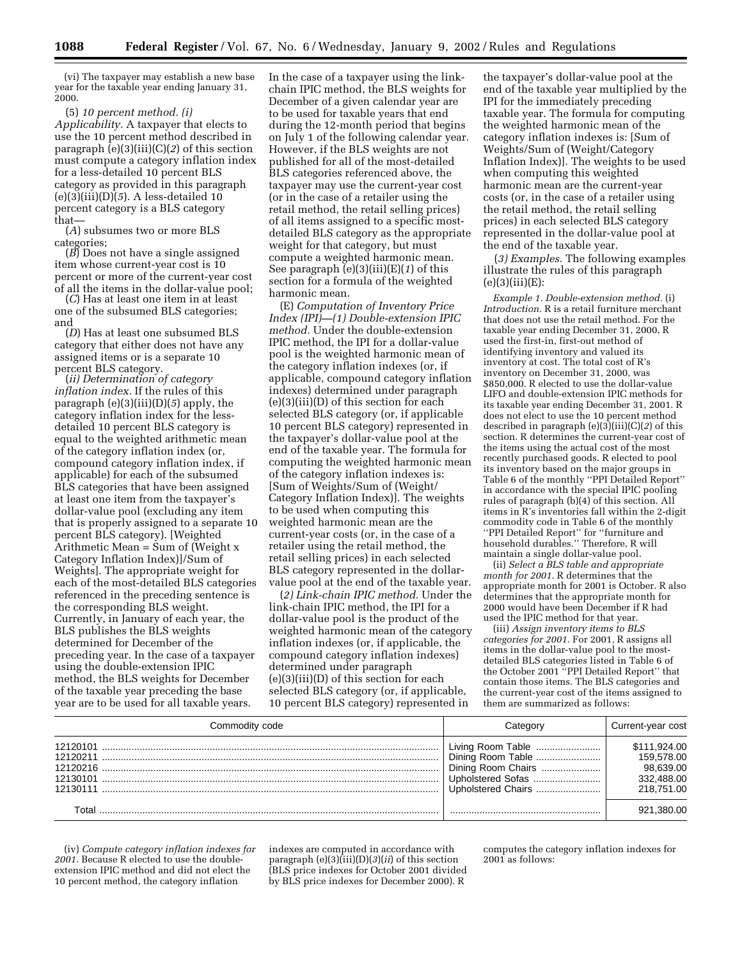(vi) The taxpayer may establish a new base year for the taxable year ending January 31, 2000.

(5) *10 percent method. (i) Applicability.* A taxpayer that elects to use the 10 percent method described in paragraph (e)(3)(iii)(C)(*2*) of this section must compute a category inflation index for a less-detailed 10 percent BLS category as provided in this paragraph (e)(3)(iii)(D)(*5*). A less-detailed 10 percent category is a BLS category that—

(*A*) subsumes two or more BLS

categories; (*B*) Does not have a single assigned item whose current-year cost is 10 percent or more of the current-year cost of all the items in the dollar-value pool; (*C*) Has at least one item in at least

one of the subsumed BLS categories; and

(*D*) Has at least one subsumed BLS category that either does not have any assigned items or is a separate 10<br>percent BLS category.

(*ii*) Determination of category *inflation index.* If the rules of this paragraph (e)(3)(iii)(D)(*5*) apply, the category inflation index for the lessdetailed 10 percent BLS category is equal to the weighted arithmetic mean of the category inflation index (or, compound category inflation index, if applicable) for each of the subsumed BLS categories that have been assigned at least one item from the taxpayer's dollar-value pool (excluding any item that is properly assigned to a separate 10 percent BLS category). [Weighted Arithmetic Mean =  $\text{Sum of}$  (Weight x Category Inflation Index)]/Sum of Weights]. The appropriate weight for each of the most-detailed BLS categories referenced in the preceding sentence is the corresponding BLS weight. Currently, in January of each year, the BLS publishes the BLS weights determined for December of the preceding year. In the case of a taxpayer using the double-extension IPIC method, the BLS weights for December of the taxable year preceding the base year are to be used for all taxable years.

In the case of a taxpayer using the linkchain IPIC method, the BLS weights for December of a given calendar year are to be used for taxable years that end during the 12-month period that begins on July 1 of the following calendar year. However, if the BLS weights are not published for all of the most-detailed BLS categories referenced above, the taxpayer may use the current-year cost (or in the case of a retailer using the retail method, the retail selling prices) of all items assigned to a specific mostdetailed BLS category as the appropriate weight for that category, but must compute a weighted harmonic mean. See paragraph (e)(3)(iii)(E)(*1*) of this section for a formula of the weighted harmonic mean.

(E) *Computation of Inventory Price Index (IPI)—(1) Double-extension IPIC method.* Under the double-extension IPIC method, the IPI for a dollar-value pool is the weighted harmonic mean of the category inflation indexes (or, if applicable, compound category inflation indexes) determined under paragraph (e)(3)(iii)(D) of this section for each selected BLS category (or, if applicable 10 percent BLS category) represented in the taxpayer's dollar-value pool at the end of the taxable year. The formula for computing the weighted harmonic mean of the category inflation indexes is: [Sum of Weights/Sum of (Weight/ Category Inflation Index)]. The weights to be used when computing this weighted harmonic mean are the current-year costs (or, in the case of a retailer using the retail method, the retail selling prices) in each selected BLS category represented in the dollarvalue pool at the end of the taxable year.

(*2) Link-chain IPIC method.* Under the link-chain IPIC method, the IPI for a dollar-value pool is the product of the weighted harmonic mean of the category inflation indexes (or, if applicable, the compound category inflation indexes) determined under paragraph (e)(3)(iii)(D) of this section for each selected BLS category (or, if applicable, 10 percent BLS category) represented in

the taxpayer's dollar-value pool at the end of the taxable year multiplied by the IPI for the immediately preceding taxable year. The formula for computing the weighted harmonic mean of the category inflation indexes is: [Sum of Weights/Sum of (Weight/Category Inflation Index)]. The weights to be used when computing this weighted harmonic mean are the current-year costs (or, in the case of a retailer using the retail method, the retail selling prices) in each selected BLS category represented in the dollar-value pool at the end of the taxable year.

(*3) Examples.* The following examples illustrate the rules of this paragraph  $(e)(3)(iii)(E):$ 

*Example 1. Double-extension method.* (i) *Introduction.* R is a retail furniture merchant that does not use the retail method. For the taxable year ending December 31, 2000, R used the first-in, first-out method of identifying inventory and valued its inventory at cost. The total cost of R's inventory on December 31, 2000, was \$850,000. R elected to use the dollar-value LIFO and double-extension IPIC methods for its taxable year ending December 31, 2001. R does not elect to use the 10 percent method described in paragraph (e)(3)(iii)(C)(*2*) of this section. R determines the current-year cost of the items using the actual cost of the most recently purchased goods. R elected to pool its inventory based on the major groups in Table 6 of the monthly ''PPI Detailed Report'' in accordance with the special IPIC pooling rules of paragraph (b)(4) of this section. All items in R's inventories fall within the 2-digit commodity code in Table 6 of the monthly ''PPI Detailed Report'' for ''furniture and household durables.'' Therefore, R will maintain a single dollar-value pool.

(ii) *Select a BLS table and appropriate month for 2001.* R determines that the appropriate month for 2001 is October. R also determines that the appropriate month for 2000 would have been December if R had used the IPIC method for that year.

(iii) *Assign inventory items to BLS categories for 2001.* For 2001, R assigns all items in the dollar-value pool to the mostdetailed BLS categories listed in Table 6 of the October 2001 ''PPI Detailed Report'' that contain those items. The BLS categories and the current-year cost of the items assigned to them are summarized as follows:

| Commodity code                   |                    | Current-year cost                                                   |
|----------------------------------|--------------------|---------------------------------------------------------------------|
| 12120101<br>12130101<br>12130111 | Upholstered Chairs | \$111.924.00<br>159.578.00<br>98.639.00<br>332.488.00<br>218.751.00 |
|                                  |                    | 921.380.00                                                          |

(iv) *Compute category inflation indexes for 2001.* Because R elected to use the doubleextension IPIC method and did not elect the 10 percent method, the category inflation

indexes are computed in accordance with paragraph  $(e)(3)(iii)(D)(3)(ii)$  of this section (BLS price indexes for October 2001 divided by BLS price indexes for December 2000). R

computes the category inflation indexes for 2001 as follows: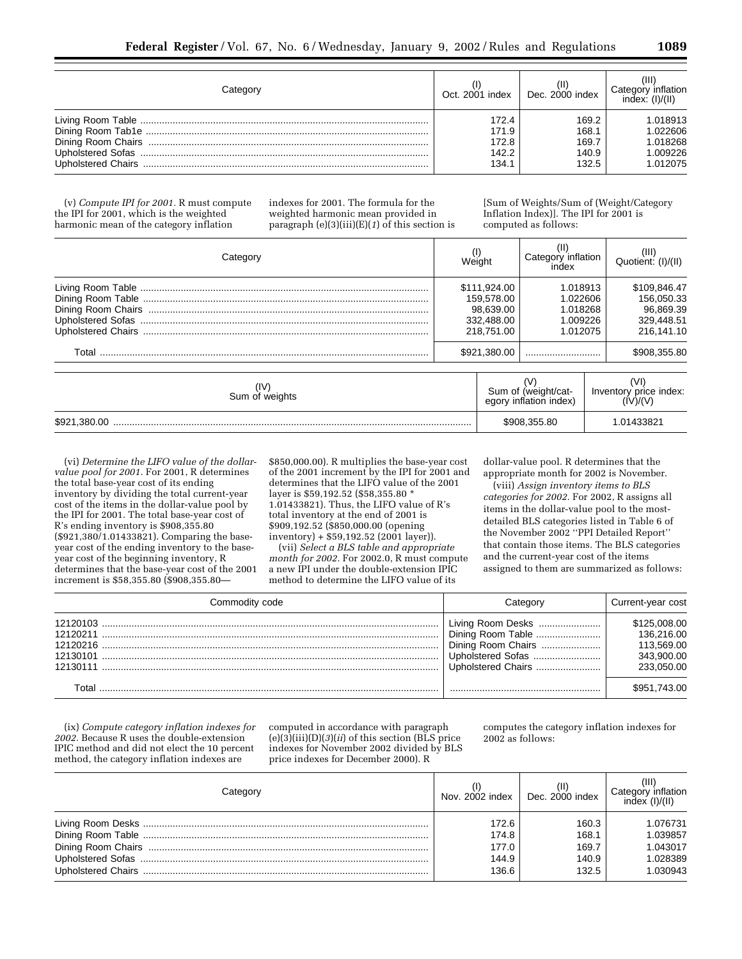| ;ateαor | Oct. 2001 index | Dec. 2000 index | Category inflation<br>index: (I)/(II) |
|---------|-----------------|-----------------|---------------------------------------|
|         | 172.4           | 169.2           | 1.018913                              |
|         | 171.9           | 168.1           | 1.022606                              |
|         | 172.8           | 169.7           | 1.018268                              |
|         | 142.2           | 140.9           | 1.009226                              |
|         | 134.1           | 132.5           | 1.012075                              |

(v) *Compute IPI for 2001.* R must compute the IPI for 2001, which is the weighted harmonic mean of the category inflation

indexes for 2001. The formula for the weighted harmonic mean provided in paragraph (e)(3)(iii)(E)(*1*) of this section is

[Sum of Weights/Sum of (Weight/Category Inflation Index)]. The IPI for 2001 is computed as follows:

| Category               | Weight                                                                                                                          |              | Category inflation<br>index                                         | $(III)$<br>Quotient: $(I)/(II)$ |
|------------------------|---------------------------------------------------------------------------------------------------------------------------------|--------------|---------------------------------------------------------------------|---------------------------------|
|                        | 1.018913<br>\$111.924.00<br>159.578.00<br>1.022606<br>98.639.00<br>1.018268<br>332.488.00<br>1.009226<br>218.751.00<br>1.012075 |              | \$109,846.47<br>156.050.33<br>96.869.39<br>329.448.51<br>216.141.10 |                                 |
|                        |                                                                                                                                 | \$921,380,00 |                                                                     | \$908.355.80                    |
| (IV)<br>Sum of weights | Sum of (weight/cat-<br>egory inflation index)                                                                                   |              | Inventory price index:                                              |                                 |
|                        |                                                                                                                                 |              | \$908,355.80                                                        | 1.01433821                      |

(vi) *Determine the LIFO value of the dollarvalue pool for 2001.* For 2001, R determines the total base-year cost of its ending inventory by dividing the total current-year cost of the items in the dollar-value pool by the IPI for 2001. The total base-year cost of R's ending inventory is \$908,355.80 (\$921,380/1.01433821). Comparing the baseyear cost of the ending inventory to the baseyear cost of the beginning inventory, R determines that the base-year cost of the 2001 increment is \$58,355.80 (\$908,355.80\$850,000.00). R multiplies the base-year cost of the 2001 increment by the IPI for 2001 and determines that the LIFO value of the 2001 layer is \$59,192.52 (\$58,355.80 \* 1.01433821). Thus, the LIFO value of R's total inventory at the end of 2001 is \$909,192.52 (\$850,000.00 (opening  $inventory$ ) + \$59,192.52 (2001 layer)).

(vii) *Select a BLS table and appropriate month for 2002.* For 2002.0, R must compute a new IPI under the double-extension IPIC method to determine the LIFO value of its

dollar-value pool. R determines that the appropriate month for 2002 is November.

(viii) *Assign inventory items to BLS categories for 2002.* For 2002, R assigns all items in the dollar-value pool to the mostdetailed BLS categories listed in Table 6 of the November 2002 ''PPI Detailed Report'' that contain those items. The BLS categories and the current-year cost of the items assigned to them are summarized as follows:

| Commodity code | Categorv                                                                           | Current-year cost                                                    |
|----------------|------------------------------------------------------------------------------------|----------------------------------------------------------------------|
|                | Living Room Desks<br>Dining Room Chairs<br>Upholstered Sofas<br>Upholstered Chairs | \$125,008,00<br>136.216.00<br>113.569.00<br>343.900.00<br>233.050.00 |
|                |                                                                                    | \$951,743.00                                                         |

(ix) *Compute category inflation indexes for 2002.* Because R uses the double-extension IPIC method and did not elect the 10 percent method, the category inflation indexes are

computed in accordance with paragraph  $(e)(3)(iii)(D)(3)(ii)$  of this section (BLS price indexes for November 2002 divided by BLS price indexes for December 2000). R

computes the category inflation indexes for 2002 as follows:

| Category |       | Nov. $2002$ index $\parallel$ Dec. $2000$ index | Category inflation<br>index (I)/(II) |
|----------|-------|-------------------------------------------------|--------------------------------------|
|          | 172.6 | 160.3                                           | 1.076731                             |
|          | 174.8 | 168.1                                           | 1.039857                             |
|          | 177.0 | 169.7                                           | 1.043017                             |
|          | 144.9 | 140.9                                           | 1.028389                             |
|          | 136.6 | 132.5                                           | 1.030943                             |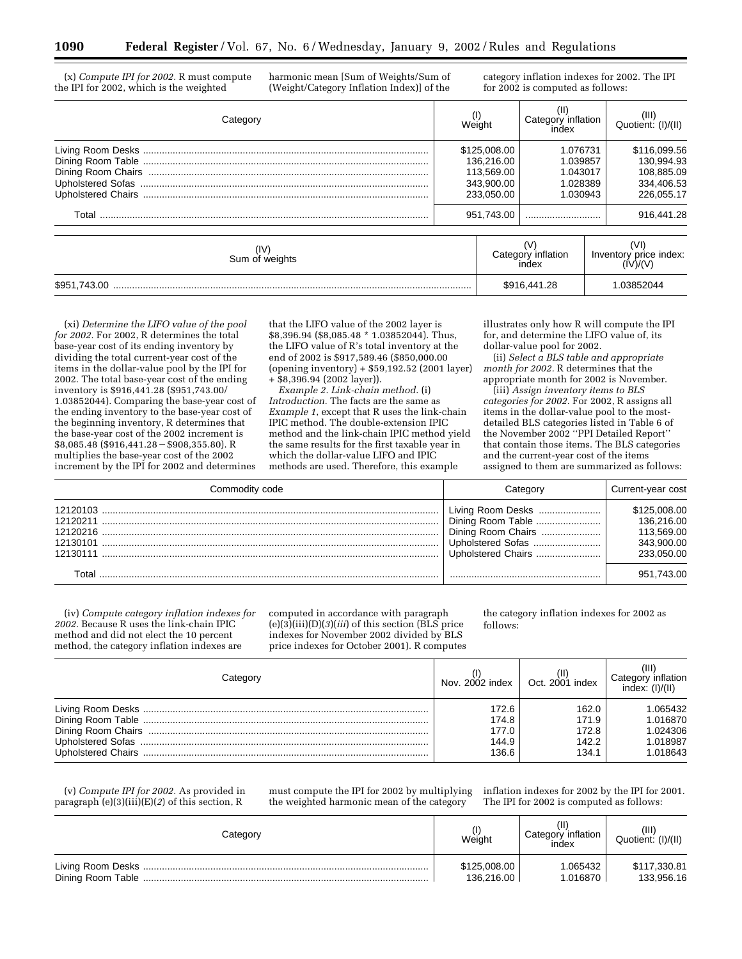(x) *Compute IPI for 2002.* R must compute the IPI for 2002, which is the weighted

harmonic mean [Sum of Weights/Sum of (Weight/Category Inflation Index)] of the category inflation indexes for 2002. The IPI for 2002 is computed as follows:

| Category               | Weight |                                                                      | Category inflation<br>index                              | $(III)$<br>Quotient: $(I)/(II)$                                      |
|------------------------|--------|----------------------------------------------------------------------|----------------------------------------------------------|----------------------------------------------------------------------|
|                        |        | \$125,008.00<br>136.216.00<br>113.569.00<br>343,900.00<br>233.050.00 | 1.076731<br>1.039857<br>1.043017<br>1.028389<br>1.030943 | \$116,099.56<br>130.994.93<br>108.885.09<br>334.406.53<br>226.055.17 |
|                        |        | 951.743.00                                                           |                                                          | 916,441.28                                                           |
| (IV)<br>Sum of weights |        |                                                                      | Category inflation<br>index                              | Inventory price index:                                               |
|                        |        | \$916,441.28                                                         |                                                          | 1.03852044                                                           |

(xi) *Determine the LIFO value of the pool for 2002.* For 2002, R determines the total base-year cost of its ending inventory by dividing the total current-year cost of the items in the dollar-value pool by the IPI for 2002. The total base-year cost of the ending inventory is \$916,441.28 (\$951,743.00/ 1.03852044). Comparing the base-year cost of the ending inventory to the base-year cost of the beginning inventory, R determines that the base-year cost of the 2002 increment is  $$8,085.48$  (\$916,441.28 - \$908,355.80). R multiplies the base-year cost of the 2002 increment by the IPI for 2002 and determines

that the LIFO value of the 2002 layer is \$8,396.94 (\$8,085.48 \* 1.03852044). Thus, the LIFO value of R's total inventory at the end of 2002 is \$917,589.46 (\$850,000.00 (opening inventory) + \$59,192.52 (2001 layer) + \$8,396.94 (2002 layer)).

*Example 2. Link-chain method.* (i) *Introduction.* The facts are the same as *Example 1*, except that R uses the link-chain IPIC method. The double-extension IPIC method and the link-chain IPIC method yield the same results for the first taxable year in which the dollar-value LIFO and IPIC methods are used. Therefore, this example

illustrates only how R will compute the IPI for, and determine the LIFO value of, its dollar-value pool for 2002.

(ii) *Select a BLS table and appropriate* month for 2002. R determines that the appropriate month for 2002 is November.

(iii) *Assign inventory items to BLS categories for 2002.* For 2002, R assigns all items in the dollar-value pool to the mostdetailed BLS categories listed in Table 6 of the November 2002 ''PPI Detailed Report'' that contain those items. The BLS categories and the current-year cost of the items assigned to them are summarized as follows:

| Commodity code                               | Category                                                                                                | Current-year cost                                                    |
|----------------------------------------------|---------------------------------------------------------------------------------------------------------|----------------------------------------------------------------------|
| 12120103<br>12120211<br>12130101<br>12130111 | Living Room Desks<br>Dining Room Table<br>Dining Room Chairs<br>Upholstered Sofas<br>Upholstered Chairs | \$125,008,00<br>136.216.00<br>113.569.00<br>343.900.00<br>233.050.00 |
|                                              |                                                                                                         | 951.743.00                                                           |

(iv) *Compute category inflation indexes for 2002.* Because R uses the link-chain IPIC method and did not elect the 10 percent method, the category inflation indexes are

computed in accordance with paragraph  $(e)(3)(iii)(D)(3)(iii)$  of this section (BLS price indexes for November 2002 divided by BLS price indexes for October 2001). R computes the category inflation indexes for 2002 as follows:

| Category | Nov. $2002$ index $\parallel$ Oct. $2001$ index |       | 'HF<br>Category inflation<br>index: (I)/(II) |
|----------|-------------------------------------------------|-------|----------------------------------------------|
|          | 172.6                                           | 162.0 | .065432                                      |
|          | 174.8                                           | 171.9 | 1.016870                                     |
|          | 177.0                                           | 172.8 | 1.024306                                     |
|          | 144.9                                           | 142.2 | 1.018987                                     |
|          | 136.6                                           | 134.1 | 1.018643                                     |

(v) *Compute IPI for 2002.* As provided in paragraph (e)(3)(iii)(E)(*2*) of this section, R

must compute the IPI for 2002 by multiplying the weighted harmonic mean of the category

inflation indexes for 2002 by the IPI for 2001. The IPI for 2002 is computed as follows:

| Category | Weight       | Category inflation<br>index | (III)<br>Quotient: (I)/(II) |
|----------|--------------|-----------------------------|-----------------------------|
|          | \$125,008.00 | 1.065432                    | \$117,330.81                |
|          | 136.216.00   | 1.016870                    | 133,956.16                  |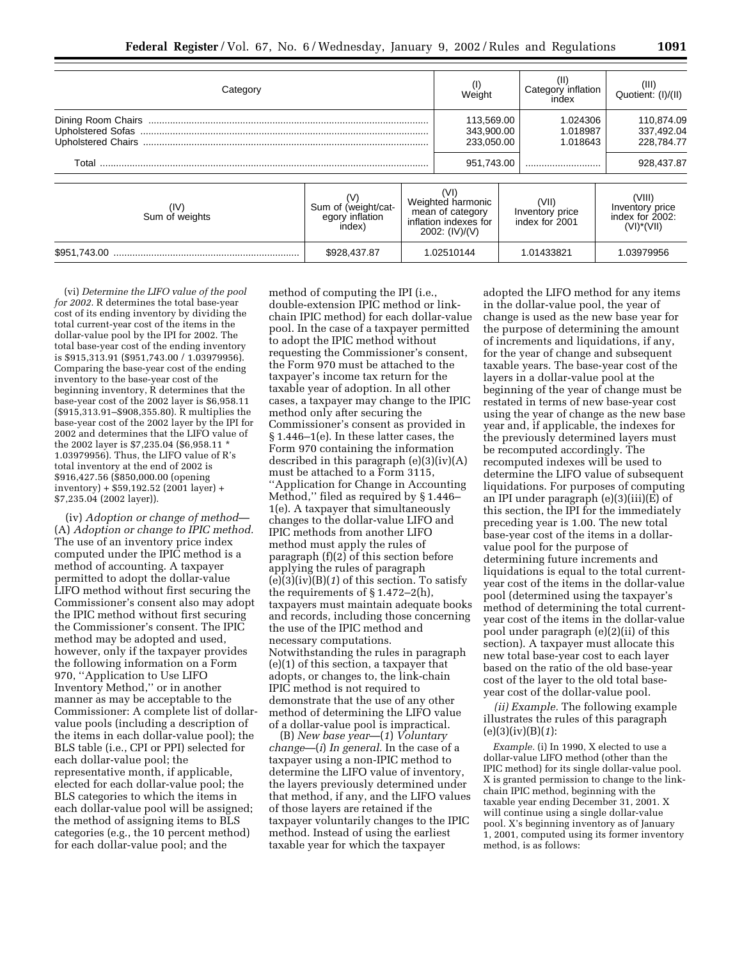| Category                 |                                                  | Weight                                                                                   | Category inflation<br>index                | $(III)$<br>Quotient: $(I)/(II)$                               |
|--------------------------|--------------------------------------------------|------------------------------------------------------------------------------------------|--------------------------------------------|---------------------------------------------------------------|
| <b>Upholstered Sofas</b> |                                                  | 113.569.00<br>343.900.00<br>233.050.00                                                   | 1.024306<br>1.018987<br>1.018643           | 110.874.09<br>337,492.04<br>228.784.77                        |
| Total                    |                                                  | 951,743.00                                                                               |                                            | 928,437.87                                                    |
| (IV)<br>Sum of weights   | Sum of (weight/cat-<br>egory inflation<br>index) | (VI)<br>Weighted harmonic<br>mean of category<br>inflation indexes for<br>2002: (IV)/(V) | (VII)<br>Inventory price<br>index for 2001 | (VIII)<br>Inventory price<br>index for 2002:<br>$(VI)^*(VII)$ |
|                          | \$928,437.87                                     | 1.02510144                                                                               | 1.01433821                                 | 1.03979956                                                    |

(vi) *Determine the LIFO value of the pool for 2002.* R determines the total base-year cost of its ending inventory by dividing the total current-year cost of the items in the dollar-value pool by the IPI for 2002. The total base-year cost of the ending inventory is \$915,313.91 (\$951,743.00 / 1.03979956). Comparing the base-year cost of the ending inventory to the base-year cost of the beginning inventory, R determines that the base-year cost of the 2002 layer is \$6,958.11 (\$915,313.91–\$908,355.80). R multiplies the base-year cost of the 2002 layer by the IPI for 2002 and determines that the LIFO value of the 2002 layer is \$7,235.04 (\$6,958.11 \* 1.03979956). Thus, the LIFO value of R's total inventory at the end of 2002 is \$916,427.56 (\$850,000.00 (opening inventory) + \$59,192.52 (2001 layer) + \$7,235.04 (2002 layer)).

(iv) *Adoption or change of method*— (A) *Adoption or change to IPIC method.* The use of an inventory price index computed under the IPIC method is a method of accounting. A taxpayer permitted to adopt the dollar-value LIFO method without first securing the Commissioner's consent also may adopt the IPIC method without first securing the Commissioner's consent. The IPIC method may be adopted and used, however, only if the taxpayer provides the following information on a Form 970, ''Application to Use LIFO Inventory Method,'' or in another manner as may be acceptable to the Commissioner: A complete list of dollarvalue pools (including a description of the items in each dollar-value pool); the BLS table (i.e., CPI or PPI) selected for each dollar-value pool; the representative month, if applicable, elected for each dollar-value pool; the BLS categories to which the items in each dollar-value pool will be assigned; the method of assigning items to BLS categories (e.g., the 10 percent method) for each dollar-value pool; and the

method of computing the IPI (i.e., double-extension IPIC method or linkchain IPIC method) for each dollar-value pool. In the case of a taxpayer permitted to adopt the IPIC method without requesting the Commissioner's consent, the Form 970 must be attached to the taxpayer's income tax return for the taxable year of adoption. In all other cases, a taxpayer may change to the IPIC method only after securing the Commissioner's consent as provided in § 1.446–1(e). In these latter cases, the Form 970 containing the information described in this paragraph (e)(3)(iv)(A) must be attached to a Form 3115, ''Application for Change in Accounting Method,'' filed as required by § 1.446– 1(e). A taxpayer that simultaneously changes to the dollar-value LIFO and IPIC methods from another LIFO method must apply the rules of paragraph (f)(2) of this section before applying the rules of paragraph (e)(3)(iv)(B)(*1*) of this section. To satisfy the requirements of § 1.472–2(h), taxpayers must maintain adequate books and records, including those concerning the use of the IPIC method and necessary computations. Notwithstanding the rules in paragraph (e)(1) of this section, a taxpayer that adopts, or changes to, the link-chain IPIC method is not required to demonstrate that the use of any other method of determining the LIFO value of a dollar-value pool is impractical.

(B) *New base year*—(*1*) *Voluntary change*—(*i*) *In general.* In the case of a taxpayer using a non-IPIC method to determine the LIFO value of inventory, the layers previously determined under that method, if any, and the LIFO values of those layers are retained if the taxpayer voluntarily changes to the IPIC method. Instead of using the earliest taxable year for which the taxpayer

adopted the LIFO method for any items in the dollar-value pool, the year of change is used as the new base year for the purpose of determining the amount of increments and liquidations, if any, for the year of change and subsequent taxable years. The base-year cost of the layers in a dollar-value pool at the beginning of the year of change must be restated in terms of new base-year cost using the year of change as the new base year and, if applicable, the indexes for the previously determined layers must be recomputed accordingly. The recomputed indexes will be used to determine the LIFO value of subsequent liquidations. For purposes of computing an IPI under paragraph (e)(3)(iii)(E) of this section, the IPI for the immediately preceding year is 1.00. The new total base-year cost of the items in a dollarvalue pool for the purpose of determining future increments and liquidations is equal to the total currentyear cost of the items in the dollar-value pool (determined using the taxpayer's method of determining the total currentyear cost of the items in the dollar-value pool under paragraph (e)(2)(ii) of this section). A taxpayer must allocate this new total base-year cost to each layer based on the ratio of the old base-year cost of the layer to the old total baseyear cost of the dollar-value pool.

*(ii) Example.* The following example illustrates the rules of this paragraph (e)(3)(iv)(B)(*1*):

*Example.* (i) In 1990, X elected to use a dollar-value LIFO method (other than the IPIC method) for its single dollar-value pool. X is granted permission to change to the linkchain IPIC method, beginning with the taxable year ending December 31, 2001. X will continue using a single dollar-value pool. X's beginning inventory as of January 1, 2001, computed using its former inventory method, is as follows: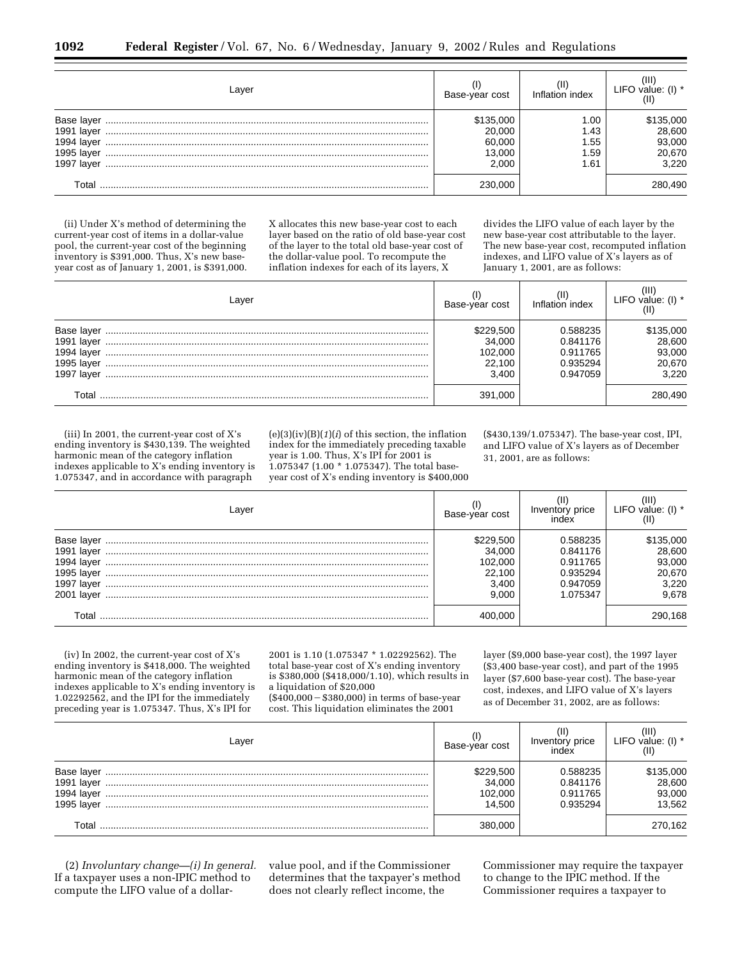| Laver                                                              | Base-year cost                                   | Inflation index                    | Ш<br>LIFO value: $(I)$ *                         |
|--------------------------------------------------------------------|--------------------------------------------------|------------------------------------|--------------------------------------------------|
| Base laver<br>1991 laver<br>1994 laver<br>1995 laver<br>1997 laver | \$135,000<br>20.000<br>60.000<br>13.000<br>2.000 | 1.00<br>1.43<br>.55<br>.59<br>l.61 | \$135,000<br>28,600<br>93,000<br>20,670<br>3.220 |
| Total                                                              | 230.000                                          |                                    | 280,490                                          |

(ii) Under X's method of determining the current-year cost of items in a dollar-value pool, the current-year cost of the beginning inventory is \$391,000. Thus, X's new baseyear cost as of January 1, 2001, is \$391,000. X allocates this new base-year cost to each layer based on the ratio of old base-year cost of the layer to the total old base-year cost of the dollar-value pool. To recompute the inflation indexes for each of its layers, X

divides the LIFO value of each layer by the new base-year cost attributable to the layer. The new base-year cost, recomputed inflation indexes, and LIFO value of X's layers as of January 1, 2001, are as follows:

| Layer | Base-year cost                                    | Inflation index                                          | ΊIΙ<br>LIFO value: (I) $*$                       |
|-------|---------------------------------------------------|----------------------------------------------------------|--------------------------------------------------|
|       | \$229,500<br>34.000<br>102.000<br>22.100<br>3.400 | 0.588235<br>0.841176<br>0.911765<br>0.935294<br>0.947059 | \$135,000<br>28,600<br>93,000<br>20,670<br>3.220 |
| Total | 391.000                                           |                                                          | 280,490                                          |

(iii) In 2001, the current-year cost of X's ending inventory is \$430,139. The weighted harmonic mean of the category inflation indexes applicable to X's ending inventory is 1.075347, and in accordance with paragraph

(e)(3)(iv)(B)(*1*)(*i*) of this section, the inflation index for the immediately preceding taxable year is 1.00. Thus, X's IPI for 2001 is 1.075347 (1.00 \* 1.075347). The total baseyear cost of X's ending inventory is \$400,000

(\$430,139/1.075347). The base-year cost, IPI, and LIFO value of X's layers as of December 31, 2001, are as follows:

| Layer           | Base-year cost | Inventory price<br>index | (III<br>LIFO value: $(I)$ * |
|-----------------|----------------|--------------------------|-----------------------------|
| Base layer      | \$229,500      | 0.588235                 | \$135,000                   |
| 1991 laver      | 34.000         | 0.841176                 | 28,600                      |
| 1994 laver      | 102.000        | 0.911765                 | 93,000                      |
| 1995 laver      | 22.100         | 0.935294                 | 20,670                      |
| 1997<br>ˈ laver | 3.400          | 0.947059                 | 3,220                       |
| 2001<br>laver   | 9.000          | 1.075347                 | 9.678                       |
| Total           | 400.000        |                          | 290,168                     |

(iv) In 2002, the current-year cost of X's ending inventory is \$418,000. The weighted harmonic mean of the category inflation indexes applicable to X's ending inventory is 1.02292562, and the IPI for the immediately preceding year is 1.075347. Thus, X's IPI for

2001 is 1.10 (1.075347 \* 1.02292562). The total base-year cost of X's ending inventory is \$380,000 (\$418,000/1.10), which results in a liquidation of \$20,000

 $($400,000 - $380,000)$  in terms of base-year cost. This liquidation eliminates the 2001

layer (\$9,000 base-year cost), the 1997 layer (\$3,400 base-year cost), and part of the 1995 layer (\$7,600 base-year cost). The base-year cost, indexes, and LIFO value of X's layers as of December 31, 2002, are as follows:

| Laver                                  | Base-year cost                           | Inventory price<br>index                     | Ш<br>LIFO value: (I) *                  |
|----------------------------------------|------------------------------------------|----------------------------------------------|-----------------------------------------|
| Base layer<br>1994 layer<br>1995 laver | \$229,500<br>34,000<br>102,000<br>14.500 | 0.588235<br>0.841176<br>0.911765<br>0.935294 | \$135,000<br>28,600<br>93,000<br>13.562 |
| Total                                  | 380.000                                  |                                              | 270,162                                 |

(2) *Involuntary change—(i) In general.* If a taxpayer uses a non-IPIC method to compute the LIFO value of a dollarvalue pool, and if the Commissioner determines that the taxpayer's method does not clearly reflect income, the

Commissioner may require the taxpayer to change to the IPIC method. If the Commissioner requires a taxpayer to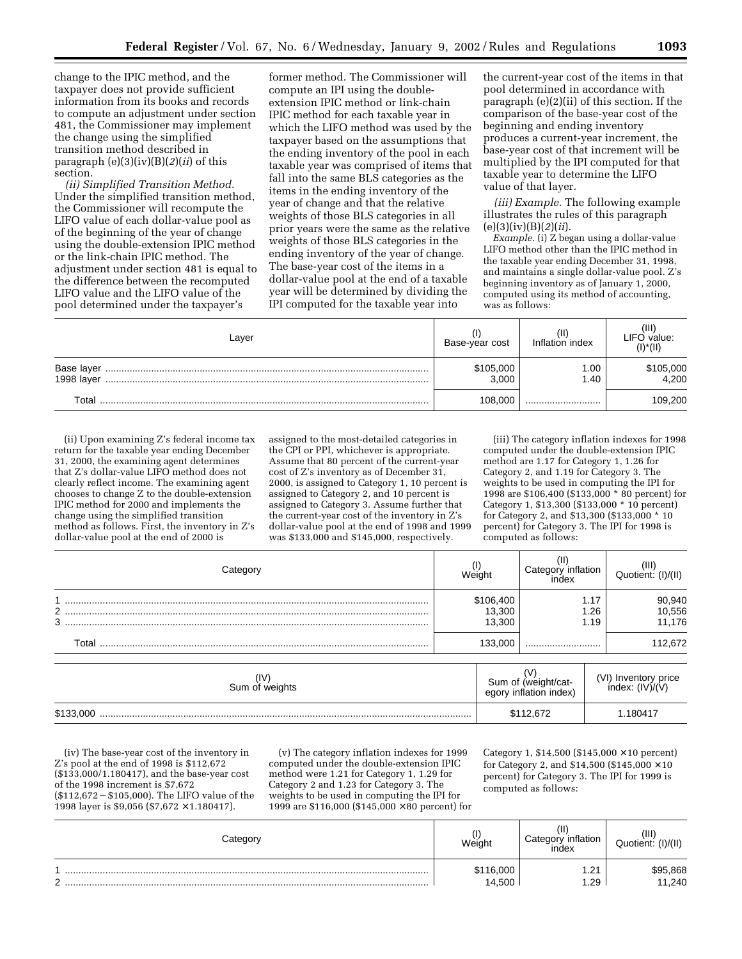change to the IPIC method, and the taxpayer does not provide sufficient information from its books and records to compute an adjustment under section 481, the Commissioner may implement the change using the simplified transition method described in paragraph (e)(3)(iv)(B)(*2*)(*ii*) of this section.

*(ii) Simplified Transition Method.* Under the simplified transition method, the Commissioner will recompute the LIFO value of each dollar-value pool as of the beginning of the year of change using the double-extension IPIC method or the link-chain IPIC method. The adjustment under section 481 is equal to the difference between the recomputed LIFO value and the LIFO value of the pool determined under the taxpayer's

former method. The Commissioner will compute an IPI using the doubleextension IPIC method or link-chain IPIC method for each taxable year in which the LIFO method was used by the taxpayer based on the assumptions that the ending inventory of the pool in each taxable year was comprised of items that fall into the same BLS categories as the items in the ending inventory of the year of change and that the relative weights of those BLS categories in all prior years were the same as the relative weights of those BLS categories in the ending inventory of the year of change. The base-year cost of the items in a dollar-value pool at the end of a taxable year will be determined by dividing the IPI computed for the taxable year into

the current-year cost of the items in that pool determined in accordance with paragraph (e)(2)(ii) of this section. If the comparison of the base-year cost of the beginning and ending inventory produces a current-year increment, the base-year cost of that increment will be multiplied by the IPI computed for that taxable year to determine the LIFO value of that layer.

*(iii) Example.* The following example illustrates the rules of this paragraph (e)(3)(iv)(B)(*2*)(*ii*).

*Example.* (i) Z began using a dollar-value LIFO method other than the IPIC method in the taxable year ending December 31, 1998, and maintains a single dollar-value pool. Z's beginning inventory as of January 1, 2000, computed using its method of accounting, was as follows:

| Layer      | Base-year cost     | Inflation index | ΊH<br>LIFO value:<br>$(I)^*(II)$ |
|------------|--------------------|-----------------|----------------------------------|
| 1998 layer | \$105,000<br>3.000 | 1.00<br>1.40    | \$105,000<br>4,200               |
| Total      | 108.000            |                 | 109,200                          |

(ii) Upon examining Z's federal income tax return for the taxable year ending December 31, 2000, the examining agent determines that Z's dollar-value LIFO method does not clearly reflect income. The examining agent chooses to change Z to the double-extension IPIC method for 2000 and implements the change using the simplified transition method as follows. First, the inventory in Z's dollar-value pool at the end of 2000 is

assigned to the most-detailed categories in the CPI or PPI, whichever is appropriate. Assume that 80 percent of the current-year cost of Z's inventory as of December 31, 2000, is assigned to Category 1, 10 percent is assigned to Category 2, and 10 percent is assigned to Category 3. Assume further that the current-year cost of the inventory in Z's dollar-value pool at the end of 1998 and 1999 was \$133,000 and \$145,000, respectively.

(iii) The category inflation indexes for 1998 computed under the double-extension IPIC method are 1.17 for Category 1, 1.26 for Category 2, and 1.19 for Category 3. The weights to be used in computing the IPI for 1998 are \$106,400 (\$133,000 \* 80 percent) for Category 1, \$13,300 (\$133,000 \* 10 percent) for Category 2, and \$13,300 (\$133,000 \* 10 percent) for Category 3. The IPI for 1998 is computed as follows:

| 1.17<br>106,400<br>$\mathcal{D}$<br>13,300<br>.26<br>3<br>13,300<br>1.19<br>133.000<br>Total<br> | Weight | Category<br>inflation<br>ındex | (III)<br>Quotient: (I)/(II) |
|--------------------------------------------------------------------------------------------------|--------|--------------------------------|-----------------------------|
|                                                                                                  |        |                                | 90,940<br>10,556<br>11,176  |
|                                                                                                  |        |                                | 112,672                     |

| (IV<br>Sum of weights | N<br>Sum of (weight/cat-<br>egory inflation index) | (VI) Inventory price<br>index: $(IV)/(V)$ |
|-----------------------|----------------------------------------------------|-------------------------------------------|
| \$133,000             | \$112,672                                          | 1.180417                                  |

(iv) The base-year cost of the inventory in Z's pool at the end of 1998 is \$112,672 (\$133,000/1.180417), and the base-year cost of the 1998 increment is \$7,672  $($112,672 - $105,000)$ . The LIFO value of the 1998 layer is \$9,056 (\$7,672 × 1.180417).

(v) The category inflation indexes for 1999 computed under the double-extension IPIC method were 1.21 for Category 1, 1.29 for Category 2 and 1.23 for Category 3. The weights to be used in computing the IPI for 1999 are \$116,000 (\$145,000 × 80 percent) for Category 1, \$14,500 (\$145,000  $\times$  10 percent) for Category 2, and  $\$14,\!500$   $(\$145,\!000\times10$ percent) for Category 3. The IPI for 1999 is computed as follows:

|             | Weight              | Ίľ<br>inflation<br>Cate<br>index | (III)<br>$^{\prime}$ I)/(II)<br>Quotient: |
|-------------|---------------------|----------------------------------|-------------------------------------------|
| $\sim$<br>- | \$116,000<br>14.500 | . 21<br>.<br>.29                 | 5,868<br>1.240                            |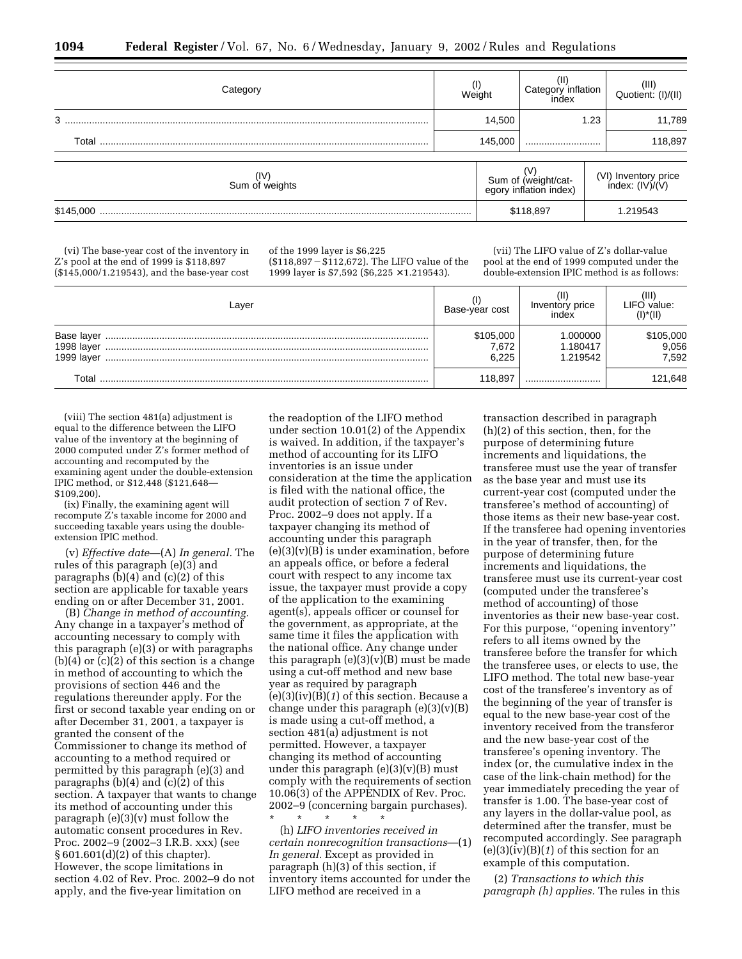| ategory.               | Weight  |                                               | Category inflation<br>index |                                         | $(III)$<br>Quotient: $(I)/(II)$ |  |
|------------------------|---------|-----------------------------------------------|-----------------------------|-----------------------------------------|---------------------------------|--|
| 3                      |         | 14,500                                        |                             | 1.23                                    | 11,789                          |  |
| Total                  | 145,000 |                                               |                             |                                         | 118,897                         |  |
| (IV)<br>Sum of weights |         | Sum of (weight/cat-<br>egory inflation index) |                             | (VI) Inventory price<br>index: (IV)/(V) |                                 |  |
| \$145,000              |         | \$118,897                                     |                             |                                         | 1.219543                        |  |

(vi) The base-year cost of the inventory in Z's pool at the end of 1999 is \$118,897 (\$145,000/1.219543), and the base-year cost of the 1999 layer is \$6,225  $($118,897 - $112,672)$ . The LIFO value of the 1999 layer is \$7,592 (\$6,225 × 1.219543).

(vii) The LIFO value of Z's dollar-value pool at the end of 1999 computed under the double-extension IPIC method is as follows:

| Laver                                  | Base-year cost              | Inventory price<br>index        | LIFO value:<br>$(I)^*(II)$  |
|----------------------------------------|-----------------------------|---------------------------------|-----------------------------|
| Base layer<br>1998 layer<br>1999 layer | \$105,000<br>7,672<br>6.225 | .000000<br>1.180417<br>1.219542 | \$105,000<br>9,056<br>7,592 |
| Total                                  | 118.897                     |                                 | 121,648                     |

(viii) The section 481(a) adjustment is equal to the difference between the LIFO value of the inventory at the beginning of 2000 computed under Z's former method of accounting and recomputed by the examining agent under the double-extension IPIC method, or \$12,448 (\$121,648— \$109,200).

(ix) Finally, the examining agent will recompute Z's taxable income for 2000 and succeeding taxable years using the doubleextension IPIC method.

(v) *Effective date*—(A) *In general.* The rules of this paragraph (e)(3) and paragraphs  $(b)(4)$  and  $(c)(2)$  of this section are applicable for taxable years ending on or after December 31, 2001.

(B) *Change in method of accounting.* Any change in a taxpayer's method of accounting necessary to comply with this paragraph (e)(3) or with paragraphs  $(b)(4)$  or  $(c)(2)$  of this section is a change in method of accounting to which the provisions of section 446 and the regulations thereunder apply. For the first or second taxable year ending on or after December 31, 2001, a taxpayer is granted the consent of the Commissioner to change its method of accounting to a method required or permitted by this paragraph (e)(3) and paragraphs  $(b)(4)$  and  $(c)(2)$  of this section. A taxpayer that wants to change its method of accounting under this paragraph (e)(3)(v) must follow the automatic consent procedures in Rev. Proc. 2002–9 (2002–3 I.R.B. xxx) (see § 601.601(d)(2) of this chapter). However, the scope limitations in section 4.02 of Rev. Proc. 2002–9 do not apply, and the five-year limitation on

the readoption of the LIFO method under section 10.01(2) of the Appendix is waived. In addition, if the taxpayer's method of accounting for its LIFO inventories is an issue under consideration at the time the application is filed with the national office, the audit protection of section 7 of Rev. Proc. 2002–9 does not apply. If a taxpayer changing its method of accounting under this paragraph  $(e)(3)(v)(B)$  is under examination, before an appeals office, or before a federal court with respect to any income tax issue, the taxpayer must provide a copy of the application to the examining agent(s), appeals officer or counsel for the government, as appropriate, at the same time it files the application with the national office. Any change under this paragraph (e)(3)(v)(B) must be made using a cut-off method and new base year as required by paragraph (e)(3)(iv)(B)(*1*) of this section. Because a change under this paragraph  $(e)(3)(v)(B)$ is made using a cut-off method, a section 481(a) adjustment is not permitted. However, a taxpayer changing its method of accounting under this paragraph (e)(3)(v)(B) must comply with the requirements of section 10.06(3) of the APPENDIX of Rev. Proc. 2002–9 (concerning bargain purchases). \* \* \* \* \*

(h) *LIFO inventories received in certain nonrecognition transactions*—(1) *In general.* Except as provided in paragraph (h)(3) of this section, if inventory items accounted for under the LIFO method are received in a

transaction described in paragraph (h)(2) of this section, then, for the purpose of determining future increments and liquidations, the transferee must use the year of transfer as the base year and must use its current-year cost (computed under the transferee's method of accounting) of those items as their new base-year cost. If the transferee had opening inventories in the year of transfer, then, for the purpose of determining future increments and liquidations, the transferee must use its current-year cost (computed under the transferee's method of accounting) of those inventories as their new base-year cost. For this purpose, ''opening inventory'' refers to all items owned by the transferee before the transfer for which the transferee uses, or elects to use, the LIFO method. The total new base-year cost of the transferee's inventory as of the beginning of the year of transfer is equal to the new base-year cost of the inventory received from the transferor and the new base-year cost of the transferee's opening inventory. The index (or, the cumulative index in the case of the link-chain method) for the year immediately preceding the year of transfer is 1.00. The base-year cost of any layers in the dollar-value pool, as determined after the transfer, must be recomputed accordingly. See paragraph  $(e)(3)(iv)(B)(1)$  of this section for an example of this computation.

(2) *Transactions to which this paragraph (h) applies.* The rules in this